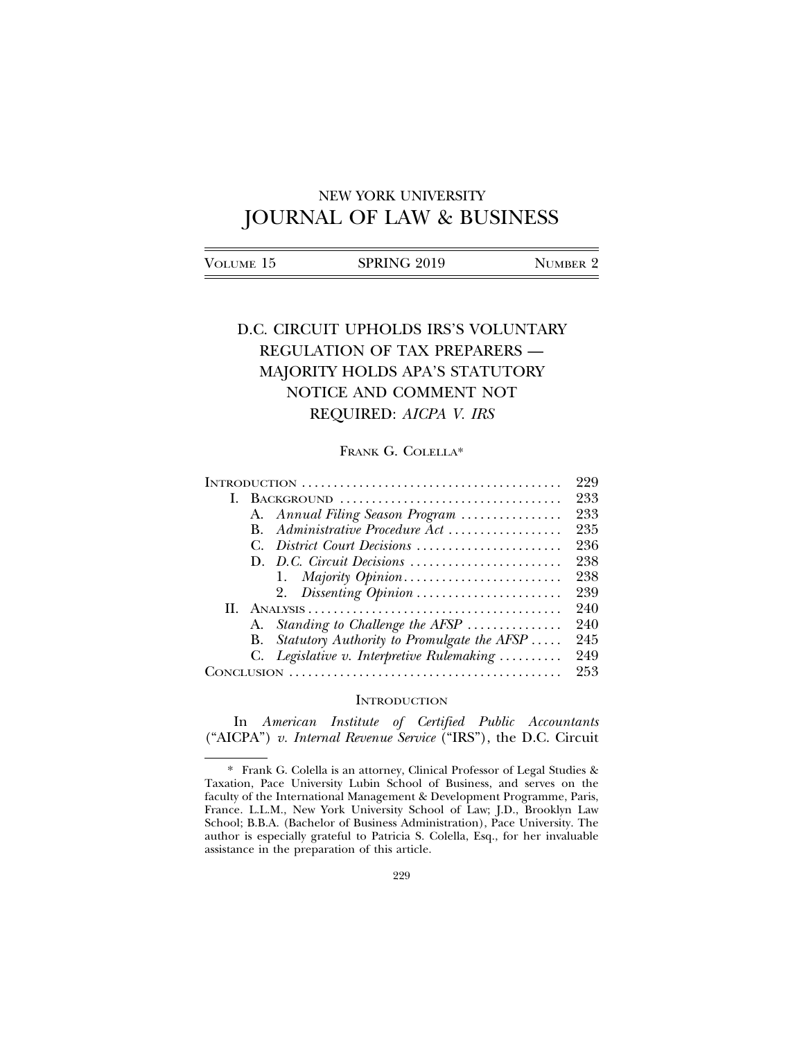# NEW YORK UNIVERSITY JOURNAL OF LAW & BUSINESS

| Volume 15 | SPRING 2019 | NUMBER 2 |
|-----------|-------------|----------|
|           |             |          |

# D.C. CIRCUIT UPHOLDS IRS'S VOLUNTARY REGULATION OF TAX PREPARERS — MAJORITY HOLDS APA'S STATUTORY NOTICE AND COMMENT NOT REQUIRED: *AICPA V. IRS*

# FRANK G. COLELLA\*

|    |    |                                            | 229 |
|----|----|--------------------------------------------|-----|
| L. |    | BACKGROUND                                 | 233 |
|    |    | A. Annual Filing Season Program            | 233 |
|    | В. | Administrative Procedure Act               | 235 |
|    |    | District Court Decisions                   | 236 |
|    |    | D. D.C. Circuit Decisions                  | 238 |
|    |    |                                            | 238 |
|    |    | 2. Dissenting Opinion                      | 239 |
| Н. |    |                                            | 240 |
|    |    | A. Standing to Challenge the AFSP          | 240 |
|    | В. | Statutory Authority to Promulgate the AFSP | 245 |
|    |    | C. Legislative v. Interpretive Rulemaking  | 249 |
|    |    |                                            | 953 |
|    |    |                                            |     |

# **INTRODUCTION**

In *American Institute of Certified Public Accountants* ("AICPA") *v. Internal Revenue Service* ("IRS"), the D.C. Circuit

<sup>\*</sup> Frank G. Colella is an attorney, Clinical Professor of Legal Studies & Taxation, Pace University Lubin School of Business, and serves on the faculty of the International Management & Development Programme, Paris, France. L.L.M., New York University School of Law; J.D., Brooklyn Law School; B.B.A. (Bachelor of Business Administration), Pace University. The author is especially grateful to Patricia S. Colella, Esq., for her invaluable assistance in the preparation of this article.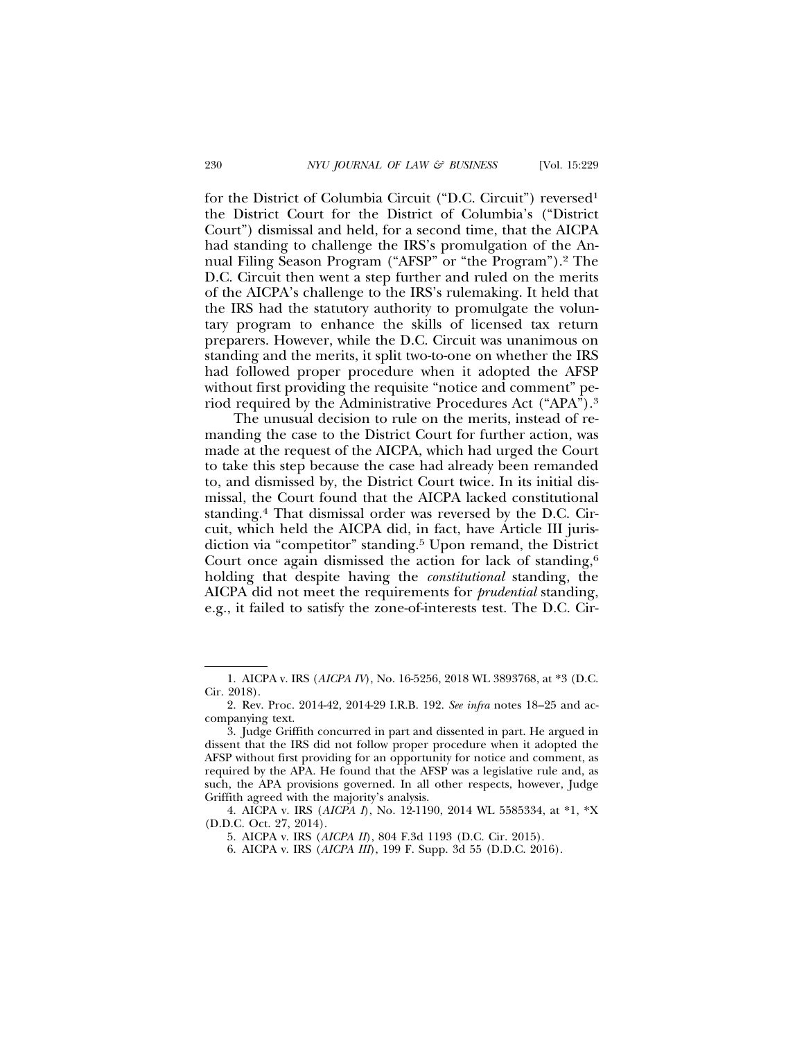for the District of Columbia Circuit ("D.C. Circuit") reversed1 the District Court for the District of Columbia's ("District Court") dismissal and held, for a second time, that the AICPA had standing to challenge the IRS's promulgation of the Annual Filing Season Program ("AFSP" or "the Program").2 The D.C. Circuit then went a step further and ruled on the merits of the AICPA's challenge to the IRS's rulemaking. It held that the IRS had the statutory authority to promulgate the voluntary program to enhance the skills of licensed tax return preparers. However, while the D.C. Circuit was unanimous on standing and the merits, it split two-to-one on whether the IRS had followed proper procedure when it adopted the AFSP without first providing the requisite "notice and comment" period required by the Administrative Procedures Act ("APA").3

The unusual decision to rule on the merits, instead of remanding the case to the District Court for further action, was made at the request of the AICPA, which had urged the Court to take this step because the case had already been remanded to, and dismissed by, the District Court twice. In its initial dismissal, the Court found that the AICPA lacked constitutional standing.4 That dismissal order was reversed by the D.C. Circuit, which held the AICPA did, in fact, have Article III jurisdiction via "competitor" standing.5 Upon remand, the District Court once again dismissed the action for lack of standing,<sup>6</sup> holding that despite having the *constitutional* standing, the AICPA did not meet the requirements for *prudential* standing, e.g., it failed to satisfy the zone-of-interests test. The D.C. Cir-

<sup>1.</sup> AICPA v. IRS (*AICPA IV*), No. 16-5256, 2018 WL 3893768, at \*3 (D.C. Cir. 2018).

<sup>2.</sup> Rev. Proc. 2014-42, 2014-29 I.R.B. 192. *See infra* notes 18–25 and accompanying text.

<sup>3.</sup> Judge Griffith concurred in part and dissented in part. He argued in dissent that the IRS did not follow proper procedure when it adopted the AFSP without first providing for an opportunity for notice and comment, as required by the APA. He found that the AFSP was a legislative rule and, as such, the APA provisions governed. In all other respects, however, Judge Griffith agreed with the majority's analysis.

<sup>4.</sup> AICPA v. IRS (*AICPA I*), No. 12-1190, 2014 WL 5585334, at \*1, \*X (D.D.C. Oct. 27, 2014).

<sup>5.</sup> AICPA v. IRS (*AICPA II*), 804 F.3d 1193 (D.C. Cir. 2015).

<sup>6.</sup> AICPA v. IRS (*AICPA III*), 199 F. Supp. 3d 55 (D.D.C. 2016).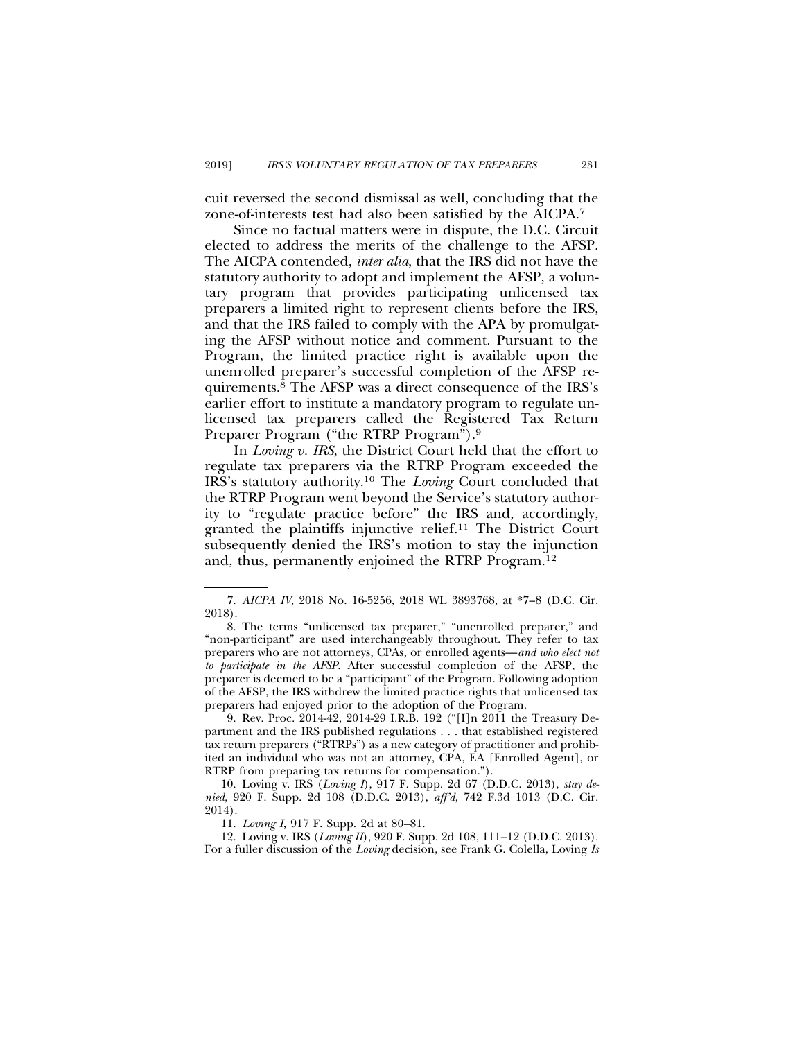cuit reversed the second dismissal as well, concluding that the zone-of-interests test had also been satisfied by the AICPA.7

Since no factual matters were in dispute, the D.C. Circuit elected to address the merits of the challenge to the AFSP. The AICPA contended, *inter alia*, that the IRS did not have the statutory authority to adopt and implement the AFSP, a voluntary program that provides participating unlicensed tax preparers a limited right to represent clients before the IRS, and that the IRS failed to comply with the APA by promulgating the AFSP without notice and comment. Pursuant to the Program, the limited practice right is available upon the unenrolled preparer's successful completion of the AFSP requirements.8 The AFSP was a direct consequence of the IRS's earlier effort to institute a mandatory program to regulate unlicensed tax preparers called the Registered Tax Return Preparer Program ("the RTRP Program").9

In *Loving v. IRS*, the District Court held that the effort to regulate tax preparers via the RTRP Program exceeded the IRS's statutory authority.10 The *Loving* Court concluded that the RTRP Program went beyond the Service's statutory authority to "regulate practice before" the IRS and, accordingly, granted the plaintiffs injunctive relief.11 The District Court subsequently denied the IRS's motion to stay the injunction and, thus, permanently enjoined the RTRP Program.12

9. Rev. Proc. 2014-42, 2014-29 I.R.B. 192 ("[I]n 2011 the Treasury Department and the IRS published regulations . . . that established registered tax return preparers ("RTRPs") as a new category of practitioner and prohibited an individual who was not an attorney, CPA, EA [Enrolled Agent], or RTRP from preparing tax returns for compensation.").

10. Loving v. IRS (*Loving I*), 917 F. Supp. 2d 67 (D.D.C. 2013), *stay denied*, 920 F. Supp. 2d 108 (D.D.C. 2013), *aff'd*, 742 F.3d 1013 (D.C. Cir. 2014).

11. *Loving I,* 917 F. Supp. 2d at 80–81.

12. Loving v. IRS (*Loving II*), 920 F. Supp. 2d 108, 111–12 (D.D.C. 2013). For a fuller discussion of the *Loving* decision, see Frank G. Colella, Loving *Is*

<sup>7.</sup> *AICPA IV*, 2018 No. 16-5256, 2018 WL 3893768, at \*7–8 (D.C. Cir. 2018).

<sup>8.</sup> The terms "unlicensed tax preparer," "unenrolled preparer," and "non-participant" are used interchangeably throughout. They refer to tax preparers who are not attorneys, CPAs, or enrolled agents—*and who elect not to participate in the AFSP*. After successful completion of the AFSP, the preparer is deemed to be a "participant" of the Program. Following adoption of the AFSP, the IRS withdrew the limited practice rights that unlicensed tax preparers had enjoyed prior to the adoption of the Program.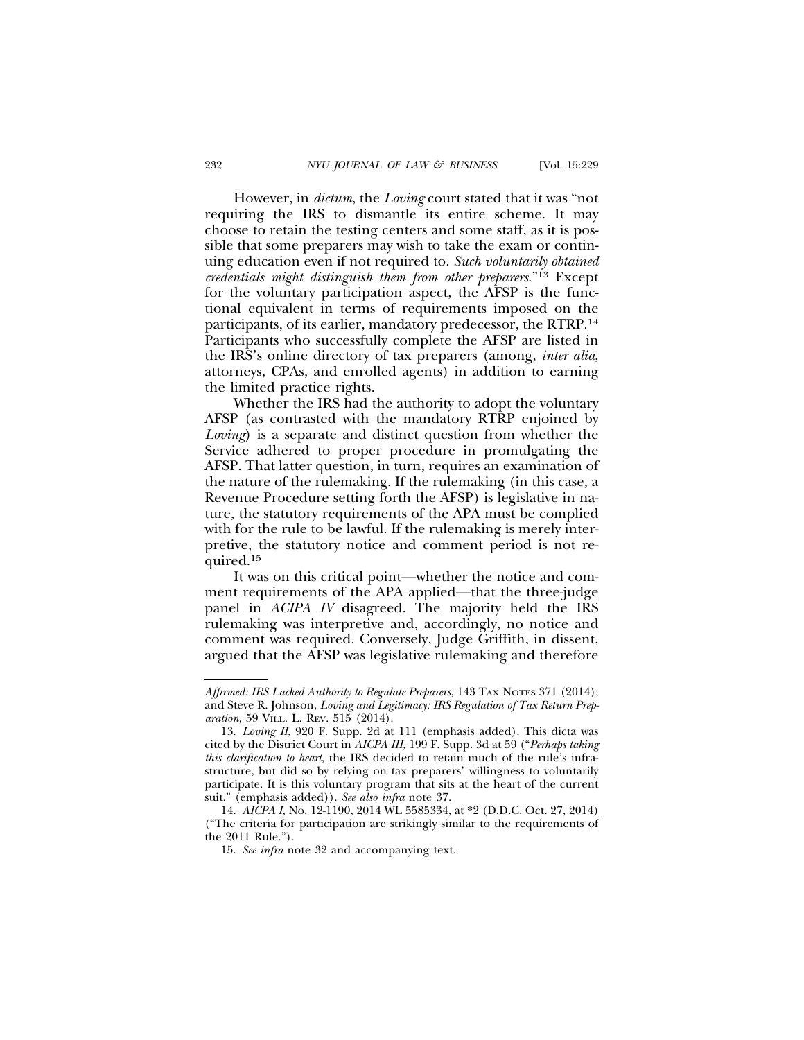However, in *dictum*, the *Loving* court stated that it was "not requiring the IRS to dismantle its entire scheme. It may choose to retain the testing centers and some staff, as it is possible that some preparers may wish to take the exam or continuing education even if not required to. *Such voluntarily obtained credentials might distinguish them from other preparers*."13 Except for the voluntary participation aspect, the AFSP is the functional equivalent in terms of requirements imposed on the participants, of its earlier, mandatory predecessor, the RTRP.14 Participants who successfully complete the AFSP are listed in the IRS's online directory of tax preparers (among, *inter alia*, attorneys, CPAs, and enrolled agents) in addition to earning the limited practice rights.

Whether the IRS had the authority to adopt the voluntary AFSP (as contrasted with the mandatory RTRP enjoined by *Loving*) is a separate and distinct question from whether the Service adhered to proper procedure in promulgating the AFSP. That latter question, in turn, requires an examination of the nature of the rulemaking. If the rulemaking (in this case, a Revenue Procedure setting forth the AFSP) is legislative in nature, the statutory requirements of the APA must be complied with for the rule to be lawful. If the rulemaking is merely interpretive, the statutory notice and comment period is not required.15

It was on this critical point—whether the notice and comment requirements of the APA applied—that the three-judge panel in *ACIPA IV* disagreed. The majority held the IRS rulemaking was interpretive and, accordingly, no notice and comment was required. Conversely, Judge Griffith, in dissent, argued that the AFSP was legislative rulemaking and therefore

*Affirmed: IRS Lacked Authority to Regulate Preparers*, 143 TAX NOTES 371 (2014); and Steve R. Johnson, *Loving and Legitimacy: IRS Regulation of Tax Return Preparation*, 59 VILL. L. REV. 515 (2014).

<sup>13.</sup> *Loving II*, 920 F. Supp. 2d at 111 (emphasis added). This dicta was cited by the District Court in *AICPA III,* 199 F. Supp. 3d at 59 ("*Perhaps taking this clarification to heart*, the IRS decided to retain much of the rule's infrastructure, but did so by relying on tax preparers' willingness to voluntarily participate. It is this voluntary program that sits at the heart of the current suit." (emphasis added)). *See also infra* note 37.

<sup>14.</sup> *AICPA I,* No. 12-1190, 2014 WL 5585334, at \*2 (D.D.C. Oct. 27, 2014) ("The criteria for participation are strikingly similar to the requirements of the 2011 Rule.").

<sup>15.</sup> *See infra* note 32 and accompanying text.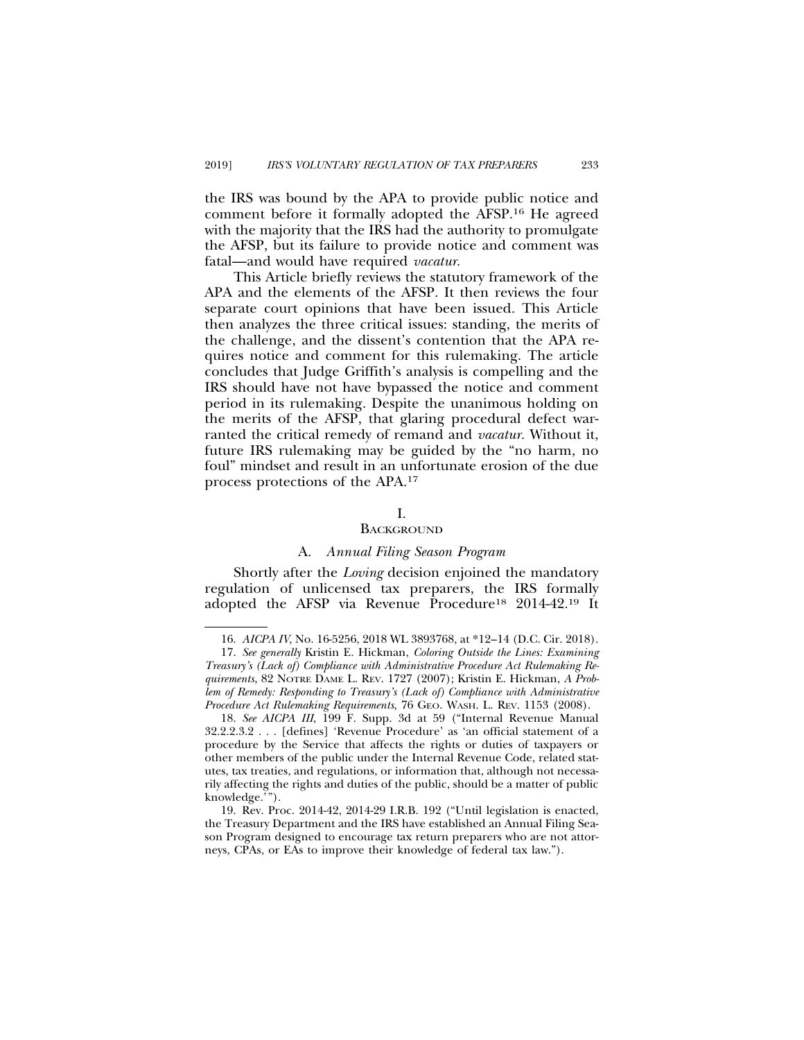the IRS was bound by the APA to provide public notice and comment before it formally adopted the AFSP.16 He agreed with the majority that the IRS had the authority to promulgate the AFSP, but its failure to provide notice and comment was fatal—and would have required *vacatur*.

This Article briefly reviews the statutory framework of the APA and the elements of the AFSP. It then reviews the four separate court opinions that have been issued. This Article then analyzes the three critical issues: standing, the merits of the challenge, and the dissent's contention that the APA requires notice and comment for this rulemaking. The article concludes that Judge Griffith's analysis is compelling and the IRS should have not have bypassed the notice and comment period in its rulemaking. Despite the unanimous holding on the merits of the AFSP, that glaring procedural defect warranted the critical remedy of remand and *vacatur.* Without it, future IRS rulemaking may be guided by the "no harm, no foul" mindset and result in an unfortunate erosion of the due process protections of the APA.17

## I.

### **BACKGROUND**

## A. *Annual Filing Season Program*

Shortly after the *Loving* decision enjoined the mandatory regulation of unlicensed tax preparers, the IRS formally adopted the AFSP via Revenue Procedure18 2014-42.19 It

<sup>16.</sup> *AICPA IV*, No. 16-5256, 2018 WL 3893768, at \*12–14 (D.C. Cir. 2018).

<sup>17.</sup> *See generally* Kristin E. Hickman, *Coloring Outside the Lines: Examining Treasury's (Lack of) Compliance with Administrative Procedure Act Rulemaking Requirements*, 82 NOTRE DAME L. REV. 1727 (2007); Kristin E. Hickman, *A Problem of Remedy: Responding to Treasury's (Lack of) Compliance with Administrative Procedure Act Rulemaking Requirements*, 76 GEO. WASH. L. REV. 1153 (2008).

<sup>18.</sup> *See AICPA III*, 199 F. Supp. 3d at 59 ("Internal Revenue Manual 32.2.2.3.2 . . . [defines] 'Revenue Procedure' as 'an official statement of a procedure by the Service that affects the rights or duties of taxpayers or other members of the public under the Internal Revenue Code, related statutes, tax treaties, and regulations, or information that, although not necessarily affecting the rights and duties of the public, should be a matter of public knowledge.'").

<sup>19.</sup> Rev. Proc. 2014-42, 2014-29 I.R.B. 192 ("Until legislation is enacted, the Treasury Department and the IRS have established an Annual Filing Season Program designed to encourage tax return preparers who are not attorneys, CPAs, or EAs to improve their knowledge of federal tax law.").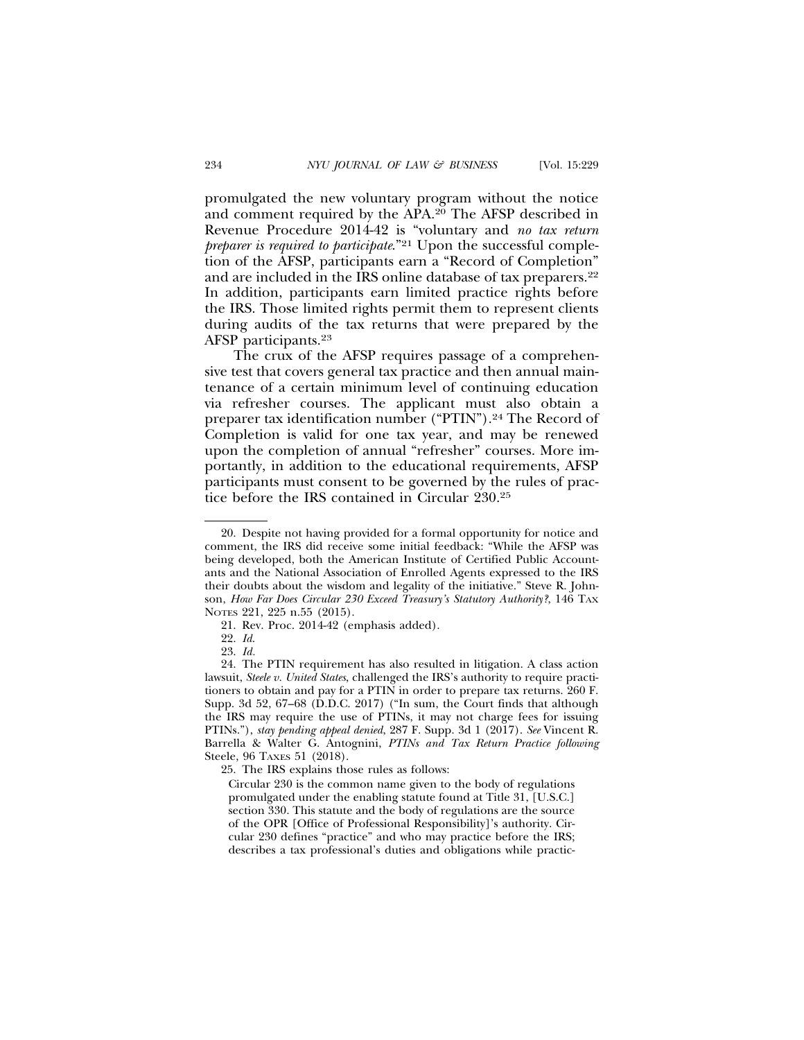promulgated the new voluntary program without the notice and comment required by the APA.20 The AFSP described in Revenue Procedure 2014-42 is "voluntary and *no tax return preparer is required to participate*."21 Upon the successful completion of the AFSP, participants earn a "Record of Completion" and are included in the IRS online database of tax preparers.<sup>22</sup> In addition, participants earn limited practice rights before the IRS. Those limited rights permit them to represent clients during audits of the tax returns that were prepared by the AFSP participants.23

The crux of the AFSP requires passage of a comprehensive test that covers general tax practice and then annual maintenance of a certain minimum level of continuing education via refresher courses. The applicant must also obtain a preparer tax identification number ("PTIN").24 The Record of Completion is valid for one tax year, and may be renewed upon the completion of annual "refresher" courses. More importantly, in addition to the educational requirements, AFSP participants must consent to be governed by the rules of practice before the IRS contained in Circular 230.25

25. The IRS explains those rules as follows:

Circular 230 is the common name given to the body of regulations promulgated under the enabling statute found at Title 31, [U.S.C.] section 330. This statute and the body of regulations are the source of the OPR [Office of Professional Responsibility]'s authority. Circular 230 defines "practice" and who may practice before the IRS; describes a tax professional's duties and obligations while practic-

<sup>20.</sup> Despite not having provided for a formal opportunity for notice and comment, the IRS did receive some initial feedback: "While the AFSP was being developed, both the American Institute of Certified Public Accountants and the National Association of Enrolled Agents expressed to the IRS their doubts about the wisdom and legality of the initiative." Steve R. Johnson, *How Far Does Circular 230 Exceed Treasury's Statutory Authority?*, 146 TAX NOTES 221, 225 n.55 (2015).

<sup>21.</sup> Rev. Proc. 2014-42 (emphasis added).

<sup>22.</sup> *Id*.

<sup>23.</sup> *Id.*

<sup>24.</sup> The PTIN requirement has also resulted in litigation. A class action lawsuit, *Steele v. United States*, challenged the IRS's authority to require practitioners to obtain and pay for a PTIN in order to prepare tax returns. 260 F. Supp. 3d 52, 67–68  $(D.D.C. 2017)$  ("In sum, the Court finds that although the IRS may require the use of PTINs, it may not charge fees for issuing PTINs."), *stay pending appeal denied*, 287 F. Supp. 3d 1 (2017). *See* Vincent R. Barrella & Walter G. Antognini, *PTINs and Tax Return Practice following* Steele, 96 TAXES 51 (2018).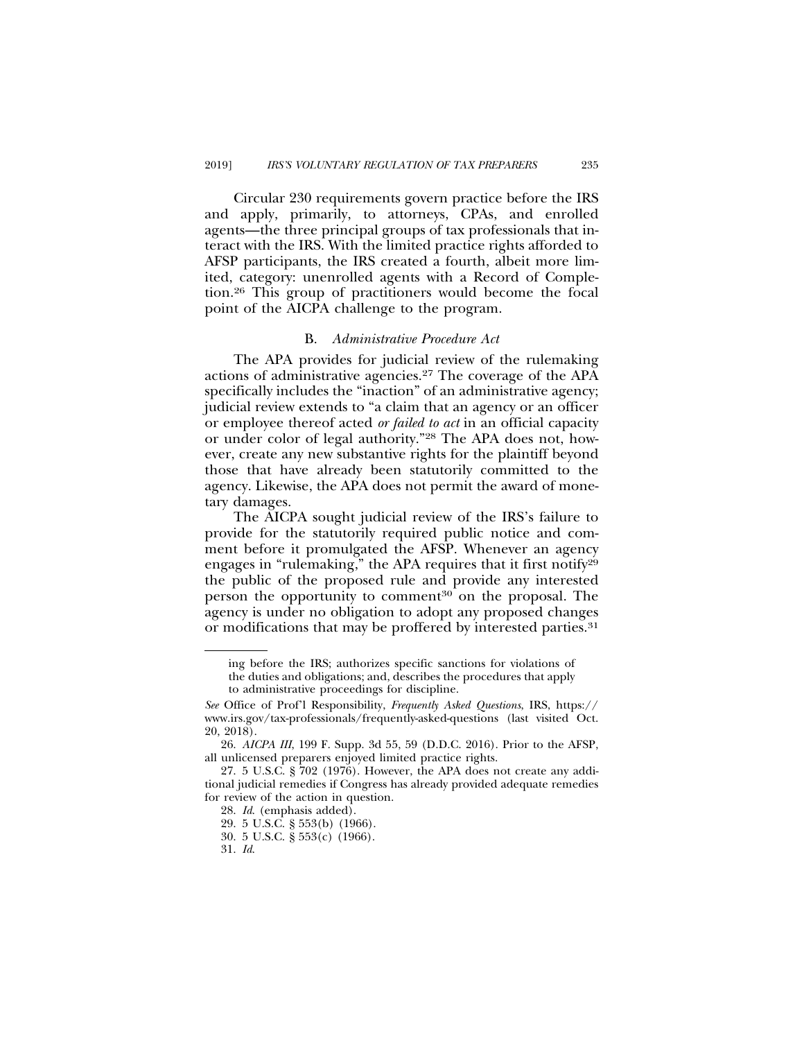Circular 230 requirements govern practice before the IRS and apply, primarily, to attorneys, CPAs, and enrolled agents—the three principal groups of tax professionals that interact with the IRS. With the limited practice rights afforded to AFSP participants, the IRS created a fourth, albeit more limited, category: unenrolled agents with a Record of Completion.26 This group of practitioners would become the focal point of the AICPA challenge to the program.

#### B. *Administrative Procedure Act*

The APA provides for judicial review of the rulemaking actions of administrative agencies.27 The coverage of the APA specifically includes the "inaction" of an administrative agency; judicial review extends to "a claim that an agency or an officer or employee thereof acted *or failed to act* in an official capacity or under color of legal authority."28 The APA does not, however, create any new substantive rights for the plaintiff beyond those that have already been statutorily committed to the agency. Likewise, the APA does not permit the award of monetary damages.

The AICPA sought judicial review of the IRS's failure to provide for the statutorily required public notice and comment before it promulgated the AFSP. Whenever an agency engages in "rulemaking," the APA requires that it first notify<sup>29</sup> the public of the proposed rule and provide any interested person the opportunity to comment<sup>30</sup> on the proposal. The agency is under no obligation to adopt any proposed changes or modifications that may be proffered by interested parties.<sup>31</sup>

31. *Id*.

ing before the IRS; authorizes specific sanctions for violations of the duties and obligations; and, describes the procedures that apply to administrative proceedings for discipline.

*See* Office of Prof'l Responsibility, *Frequently Asked Questions*, IRS, https:// www.irs.gov/tax-professionals/frequently-asked-questions (last visited Oct. 20, 2018).

<sup>26.</sup> *AICPA III*, 199 F. Supp. 3d 55, 59 (D.D.C. 2016). Prior to the AFSP, all unlicensed preparers enjoyed limited practice rights.

<sup>27. 5</sup> U.S.C. § 702 (1976). However, the APA does not create any additional judicial remedies if Congress has already provided adequate remedies for review of the action in question.

<sup>28.</sup> *Id*. (emphasis added).

<sup>29. 5</sup> U.S.C. § 553(b) (1966).

<sup>30. 5</sup> U.S.C. § 553(c) (1966).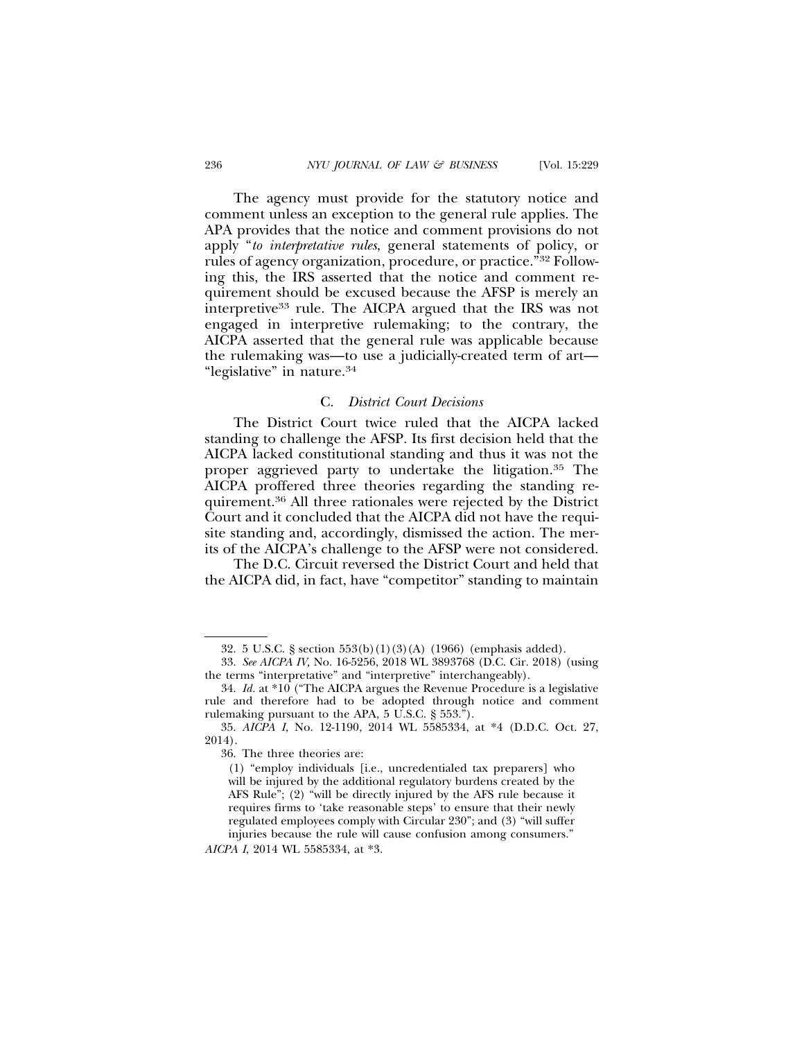The agency must provide for the statutory notice and comment unless an exception to the general rule applies. The APA provides that the notice and comment provisions do not apply "*to interpretative rules*, general statements of policy, or rules of agency organization, procedure, or practice."32 Following this, the IRS asserted that the notice and comment requirement should be excused because the AFSP is merely an interpretive<sup>33</sup> rule. The AICPA argued that the IRS was not engaged in interpretive rulemaking; to the contrary, the AICPA asserted that the general rule was applicable because the rulemaking was—to use a judicially-created term of art— "legislative" in nature.34

## C. *District Court Decisions*

The District Court twice ruled that the AICPA lacked standing to challenge the AFSP. Its first decision held that the AICPA lacked constitutional standing and thus it was not the proper aggrieved party to undertake the litigation.35 The AICPA proffered three theories regarding the standing requirement.36 All three rationales were rejected by the District Court and it concluded that the AICPA did not have the requisite standing and, accordingly, dismissed the action. The merits of the AICPA's challenge to the AFSP were not considered.

The D.C. Circuit reversed the District Court and held that the AICPA did, in fact, have "competitor" standing to maintain

*AICPA I*, 2014 WL 5585334, at \*3.

<sup>32. 5</sup> U.S.C. § section 553(b)(1)(3)(A) (1966) (emphasis added).

<sup>33.</sup> *See AICPA IV,* No. 16-5256, 2018 WL 3893768 (D.C. Cir. 2018) (using the terms "interpretative" and "interpretive" interchangeably).

<sup>34.</sup> *Id.* at \*10 ("The AICPA argues the Revenue Procedure is a legislative rule and therefore had to be adopted through notice and comment rulemaking pursuant to the APA, 5 U.S.C. § 553.").

<sup>35.</sup> *AICPA I*, No. 12-1190, 2014 WL 5585334, at \*4 (D.D.C. Oct. 27, 2014).

<sup>36.</sup> The three theories are:

<sup>(1) &</sup>quot;employ individuals [i.e., uncredentialed tax preparers] who will be injured by the additional regulatory burdens created by the AFS Rule"; (2) "will be directly injured by the AFS rule because it requires firms to 'take reasonable steps' to ensure that their newly regulated employees comply with Circular 230"; and (3) "will suffer injuries because the rule will cause confusion among consumers."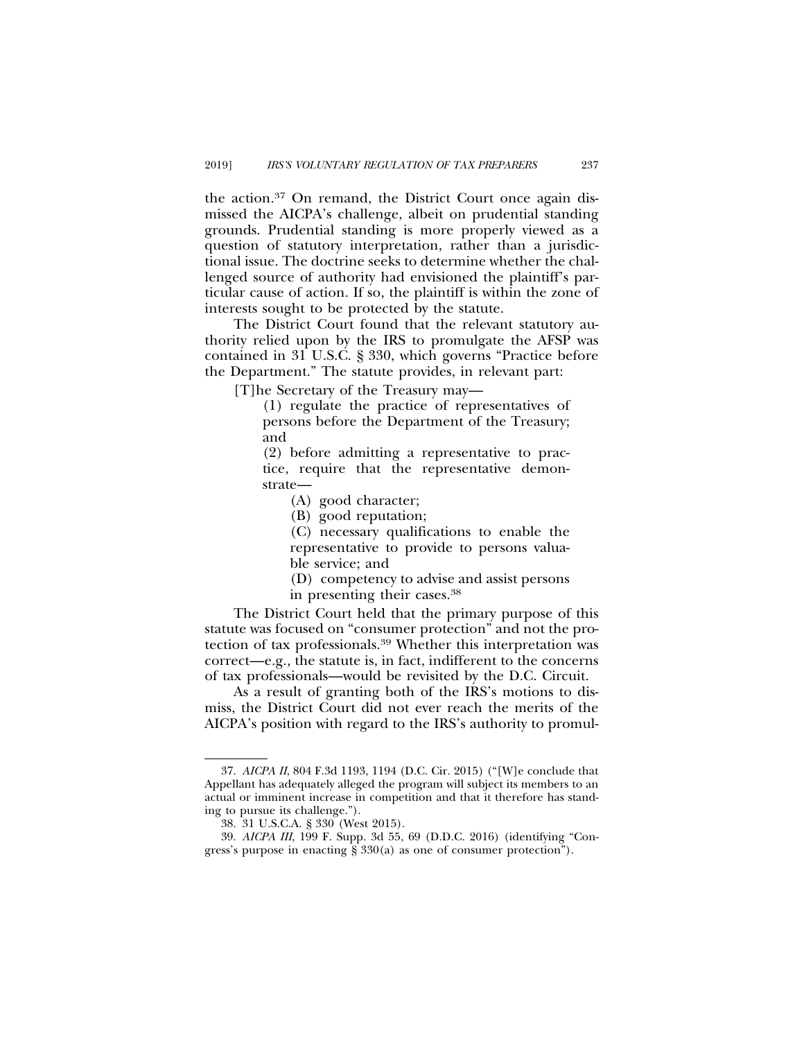the action.37 On remand, the District Court once again dismissed the AICPA's challenge, albeit on prudential standing grounds. Prudential standing is more properly viewed as a question of statutory interpretation, rather than a jurisdictional issue. The doctrine seeks to determine whether the challenged source of authority had envisioned the plaintiff's particular cause of action. If so, the plaintiff is within the zone of interests sought to be protected by the statute.

The District Court found that the relevant statutory authority relied upon by the IRS to promulgate the AFSP was contained in 31 U.S.C. § 330, which governs "Practice before the Department." The statute provides, in relevant part:

[T]he Secretary of the Treasury may—

(1) regulate the practice of representatives of persons before the Department of the Treasury; and

(2) before admitting a representative to practice, require that the representative demonstrate—

(A) good character;

(B) good reputation;

(C) necessary qualifications to enable the representative to provide to persons valuable service; and

(D) competency to advise and assist persons in presenting their cases.38

The District Court held that the primary purpose of this statute was focused on "consumer protection" and not the protection of tax professionals.39 Whether this interpretation was correct—e.g.*,* the statute is, in fact, indifferent to the concerns of tax professionals—would be revisited by the D.C. Circuit.

As a result of granting both of the IRS's motions to dismiss, the District Court did not ever reach the merits of the AICPA's position with regard to the IRS's authority to promul-

<sup>37.</sup> *AICPA II*, 804 F.3d 1193, 1194 (D.C. Cir. 2015) ("[W]e conclude that Appellant has adequately alleged the program will subject its members to an actual or imminent increase in competition and that it therefore has standing to pursue its challenge.").

<sup>38. 31</sup> U.S.C.A. § 330 (West 2015).

<sup>39.</sup> *AICPA III*, 199 F. Supp. 3d 55, 69 (D.D.C. 2016) (identifying "Congress's purpose in enacting § 330(a) as one of consumer protection").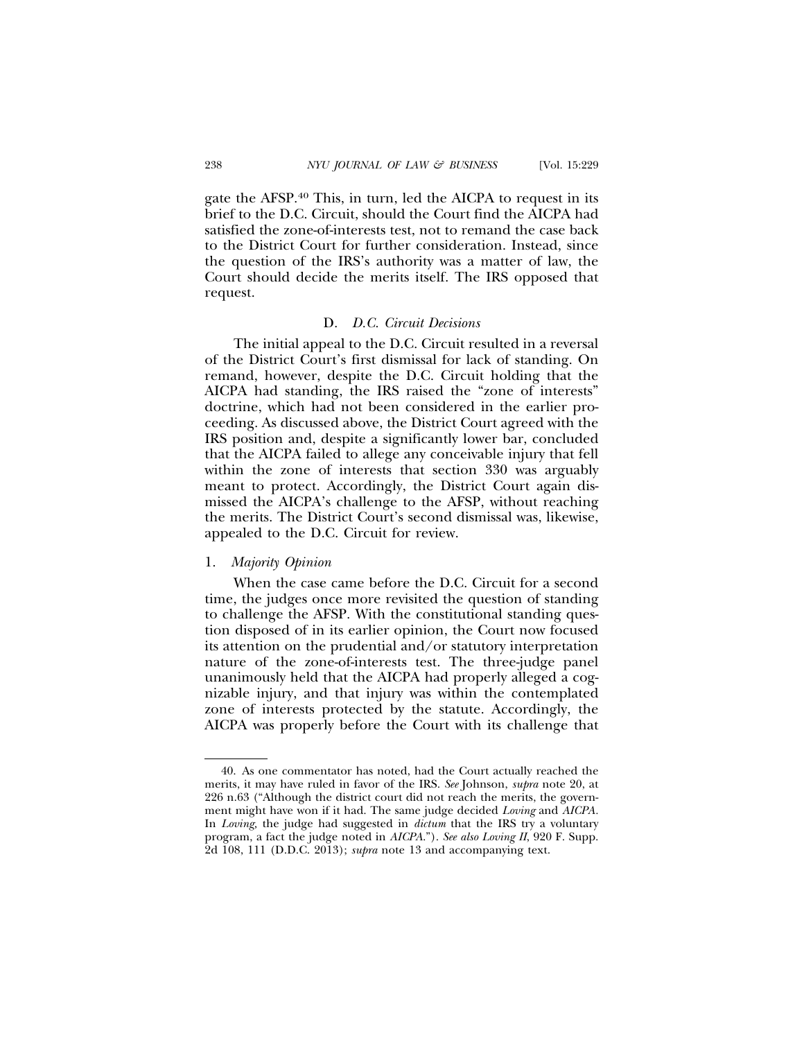gate the AFSP.40 This, in turn, led the AICPA to request in its brief to the D.C. Circuit, should the Court find the AICPA had satisfied the zone-of-interests test, not to remand the case back to the District Court for further consideration. Instead, since the question of the IRS's authority was a matter of law, the Court should decide the merits itself. The IRS opposed that request.

## D. *D.C. Circuit Decisions*

The initial appeal to the D.C. Circuit resulted in a reversal of the District Court's first dismissal for lack of standing. On remand, however, despite the D.C. Circuit holding that the AICPA had standing, the IRS raised the "zone of interests" doctrine, which had not been considered in the earlier proceeding. As discussed above, the District Court agreed with the IRS position and, despite a significantly lower bar, concluded that the AICPA failed to allege any conceivable injury that fell within the zone of interests that section 330 was arguably meant to protect. Accordingly, the District Court again dismissed the AICPA's challenge to the AFSP, without reaching the merits. The District Court's second dismissal was, likewise, appealed to the D.C. Circuit for review.

# 1. *Majority Opinion*

When the case came before the D.C. Circuit for a second time, the judges once more revisited the question of standing to challenge the AFSP. With the constitutional standing question disposed of in its earlier opinion, the Court now focused its attention on the prudential and/or statutory interpretation nature of the zone-of-interests test. The three-judge panel unanimously held that the AICPA had properly alleged a cognizable injury, and that injury was within the contemplated zone of interests protected by the statute. Accordingly, the AICPA was properly before the Court with its challenge that

<sup>40.</sup> As one commentator has noted, had the Court actually reached the merits, it may have ruled in favor of the IRS. *See* Johnson, *supra* note 20, at 226 n.63 ("Although the district court did not reach the merits, the government might have won if it had. The same judge decided *Loving* and *AICPA.* In *Loving,* the judge had suggested in *dictum* that the IRS try a voluntary program, a fact the judge noted in *AICPA*."). *See also Loving II*, 920 F. Supp. 2d 108, 111 (D.D.C. 2013); *supra* note 13 and accompanying text.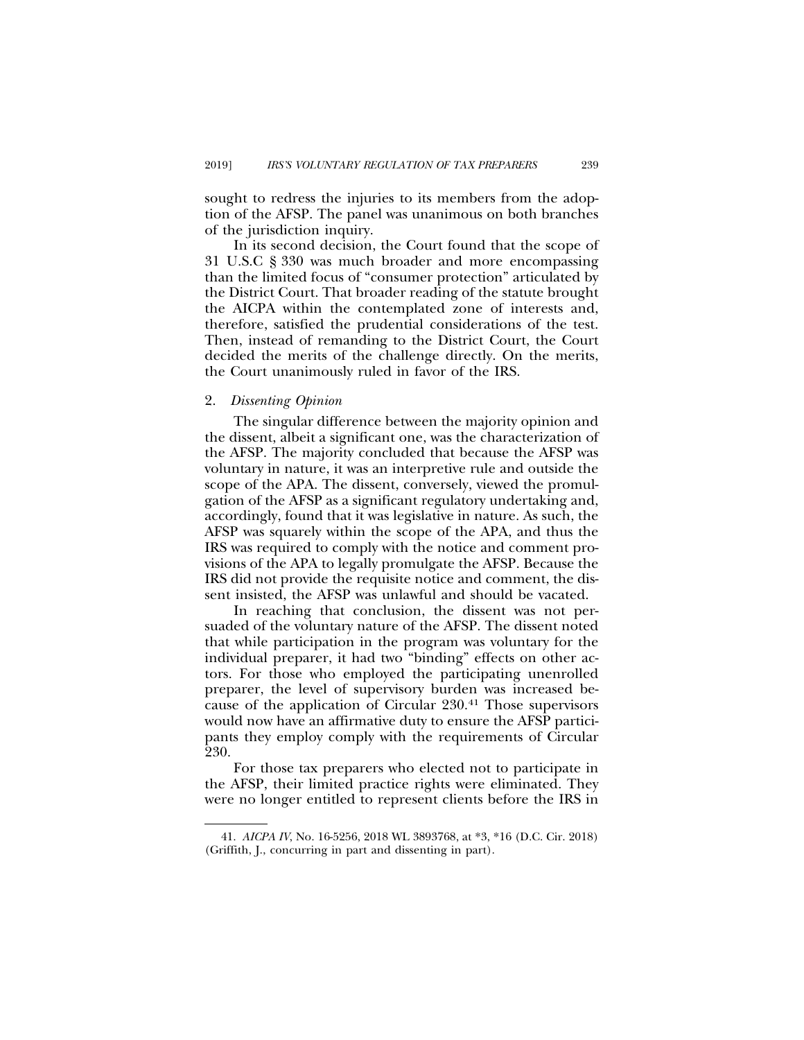sought to redress the injuries to its members from the adoption of the AFSP. The panel was unanimous on both branches of the jurisdiction inquiry.

In its second decision, the Court found that the scope of 31 U.S.C § 330 was much broader and more encompassing than the limited focus of "consumer protection" articulated by the District Court. That broader reading of the statute brought the AICPA within the contemplated zone of interests and, therefore, satisfied the prudential considerations of the test. Then, instead of remanding to the District Court, the Court decided the merits of the challenge directly. On the merits, the Court unanimously ruled in favor of the IRS.

### 2. *Dissenting Opinion*

The singular difference between the majority opinion and the dissent, albeit a significant one, was the characterization of the AFSP. The majority concluded that because the AFSP was voluntary in nature, it was an interpretive rule and outside the scope of the APA. The dissent, conversely, viewed the promulgation of the AFSP as a significant regulatory undertaking and, accordingly, found that it was legislative in nature. As such, the AFSP was squarely within the scope of the APA, and thus the IRS was required to comply with the notice and comment provisions of the APA to legally promulgate the AFSP. Because the IRS did not provide the requisite notice and comment, the dissent insisted, the AFSP was unlawful and should be vacated.

In reaching that conclusion, the dissent was not persuaded of the voluntary nature of the AFSP. The dissent noted that while participation in the program was voluntary for the individual preparer, it had two "binding" effects on other actors. For those who employed the participating unenrolled preparer, the level of supervisory burden was increased because of the application of Circular 230.41 Those supervisors would now have an affirmative duty to ensure the AFSP participants they employ comply with the requirements of Circular 230.

For those tax preparers who elected not to participate in the AFSP, their limited practice rights were eliminated. They were no longer entitled to represent clients before the IRS in

<sup>41.</sup> *AICPA IV*, No. 16-5256, 2018 WL 3893768, at \*3, \*16 (D.C. Cir. 2018) (Griffith, J., concurring in part and dissenting in part).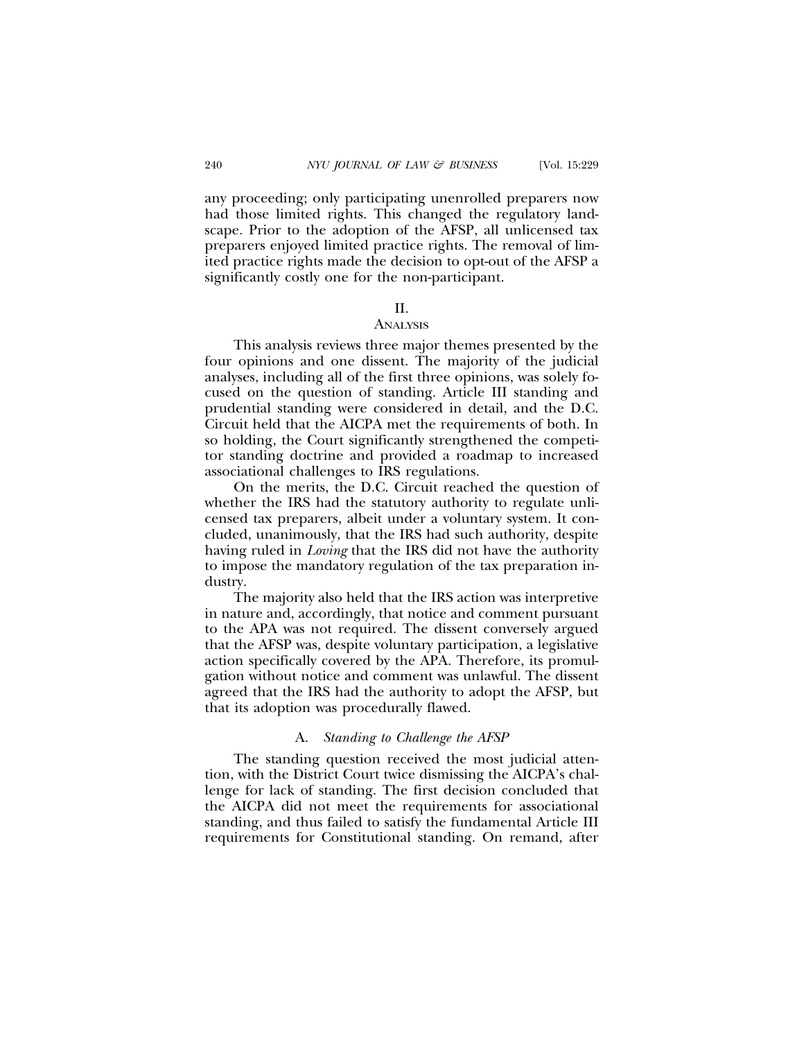any proceeding; only participating unenrolled preparers now had those limited rights. This changed the regulatory landscape. Prior to the adoption of the AFSP, all unlicensed tax preparers enjoyed limited practice rights. The removal of limited practice rights made the decision to opt-out of the AFSP a significantly costly one for the non-participant.

## II.

## **ANALYSIS**

This analysis reviews three major themes presented by the four opinions and one dissent. The majority of the judicial analyses, including all of the first three opinions, was solely focused on the question of standing. Article III standing and prudential standing were considered in detail, and the D.C. Circuit held that the AICPA met the requirements of both. In so holding, the Court significantly strengthened the competitor standing doctrine and provided a roadmap to increased associational challenges to IRS regulations.

On the merits, the D.C. Circuit reached the question of whether the IRS had the statutory authority to regulate unlicensed tax preparers, albeit under a voluntary system. It concluded, unanimously, that the IRS had such authority, despite having ruled in *Loving* that the IRS did not have the authority to impose the mandatory regulation of the tax preparation industry.

The majority also held that the IRS action was interpretive in nature and, accordingly, that notice and comment pursuant to the APA was not required. The dissent conversely argued that the AFSP was, despite voluntary participation, a legislative action specifically covered by the APA. Therefore, its promulgation without notice and comment was unlawful. The dissent agreed that the IRS had the authority to adopt the AFSP, but that its adoption was procedurally flawed.

## A. *Standing to Challenge the AFSP*

The standing question received the most judicial attention, with the District Court twice dismissing the AICPA's challenge for lack of standing. The first decision concluded that the AICPA did not meet the requirements for associational standing, and thus failed to satisfy the fundamental Article III requirements for Constitutional standing. On remand, after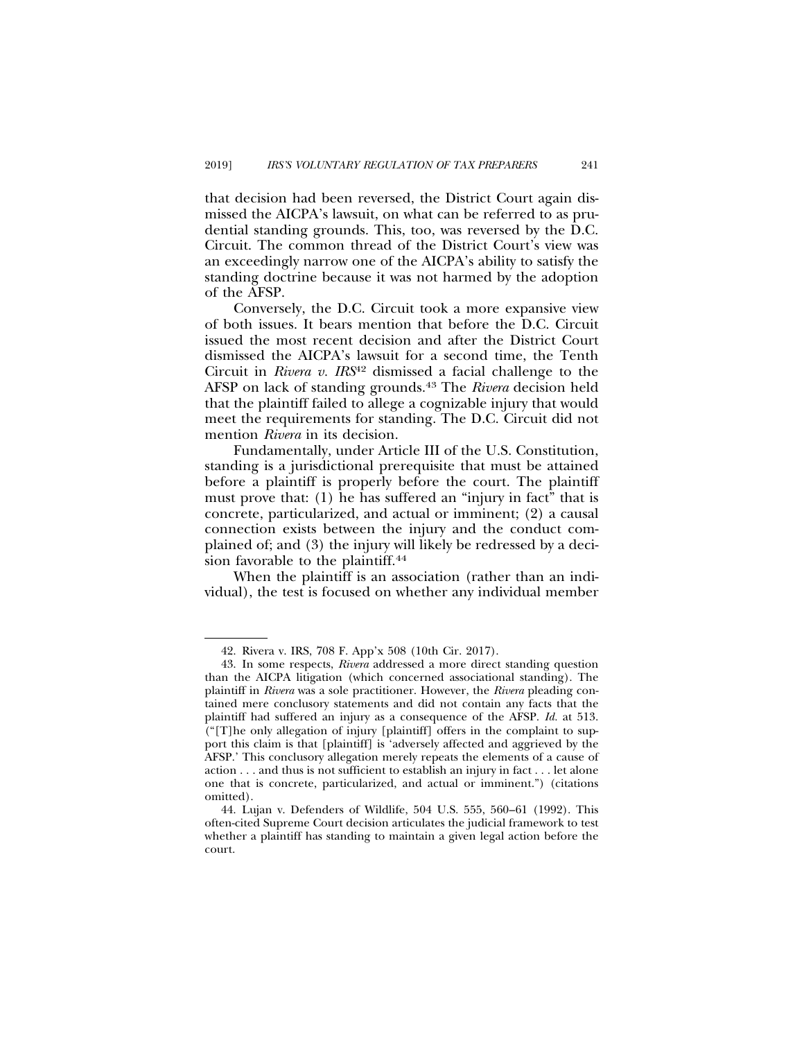that decision had been reversed, the District Court again dismissed the AICPA's lawsuit, on what can be referred to as prudential standing grounds. This, too, was reversed by the D.C. Circuit. The common thread of the District Court's view was an exceedingly narrow one of the AICPA's ability to satisfy the standing doctrine because it was not harmed by the adoption of the AFSP.

Conversely, the D.C. Circuit took a more expansive view of both issues. It bears mention that before the D.C. Circuit issued the most recent decision and after the District Court dismissed the AICPA's lawsuit for a second time, the Tenth Circuit in *Rivera v. IRS*42 dismissed a facial challenge to the AFSP on lack of standing grounds.<sup>43</sup> The *Rivera* decision held that the plaintiff failed to allege a cognizable injury that would meet the requirements for standing. The D.C. Circuit did not mention *Rivera* in its decision.

Fundamentally, under Article III of the U.S. Constitution, standing is a jurisdictional prerequisite that must be attained before a plaintiff is properly before the court. The plaintiff must prove that: (1) he has suffered an "injury in fact" that is concrete, particularized, and actual or imminent; (2) a causal connection exists between the injury and the conduct complained of; and (3) the injury will likely be redressed by a decision favorable to the plaintiff.<sup>44</sup>

When the plaintiff is an association (rather than an individual), the test is focused on whether any individual member

<sup>42.</sup> Rivera v. IRS, 708 F. App'x 508 (10th Cir. 2017).

<sup>43.</sup> In some respects, *Rivera* addressed a more direct standing question than the AICPA litigation (which concerned associational standing). The plaintiff in *Rivera* was a sole practitioner. However, the *Rivera* pleading contained mere conclusory statements and did not contain any facts that the plaintiff had suffered an injury as a consequence of the AFSP. *Id.* at 513. ("[T]he only allegation of injury [plaintiff] offers in the complaint to support this claim is that [plaintiff] is 'adversely affected and aggrieved by the AFSP.' This conclusory allegation merely repeats the elements of a cause of action . . . and thus is not sufficient to establish an injury in fact . . . let alone one that is concrete, particularized, and actual or imminent.") (citations omitted).

<sup>44.</sup> Lujan v. Defenders of Wildlife, 504 U.S. 555, 560–61 (1992). This often-cited Supreme Court decision articulates the judicial framework to test whether a plaintiff has standing to maintain a given legal action before the court.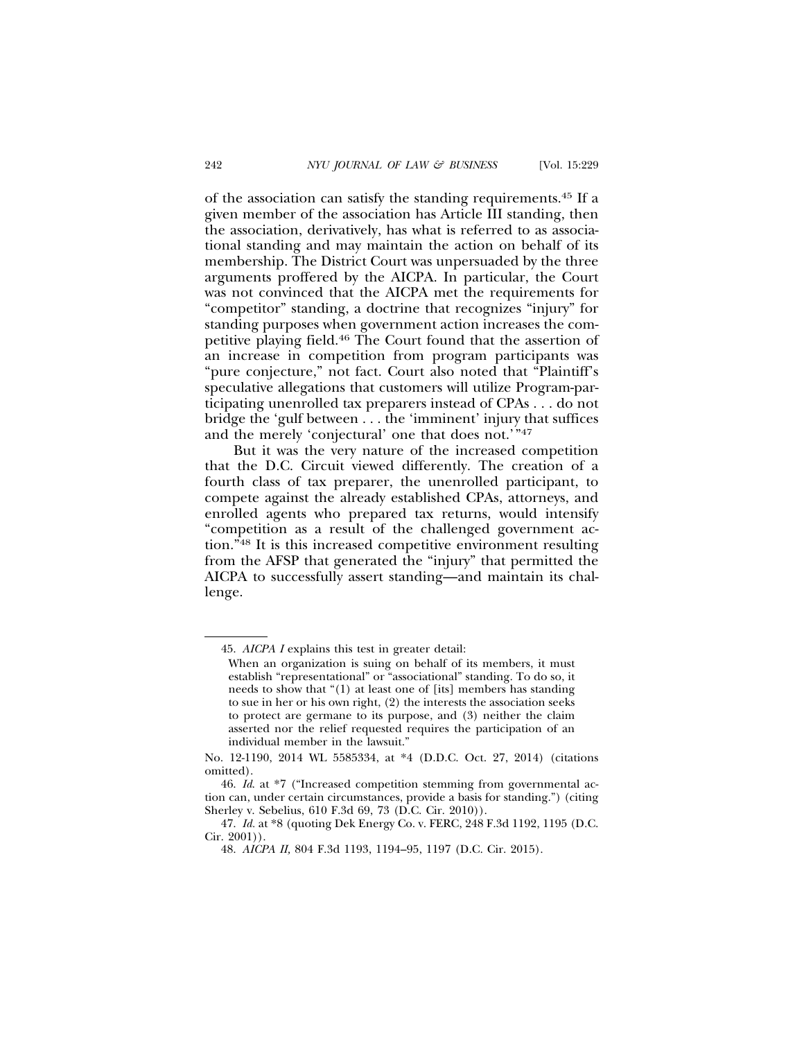of the association can satisfy the standing requirements.45 If a given member of the association has Article III standing, then the association, derivatively, has what is referred to as associational standing and may maintain the action on behalf of its membership. The District Court was unpersuaded by the three arguments proffered by the AICPA. In particular, the Court was not convinced that the AICPA met the requirements for "competitor" standing, a doctrine that recognizes "injury" for standing purposes when government action increases the competitive playing field.46 The Court found that the assertion of an increase in competition from program participants was "pure conjecture," not fact. Court also noted that "Plaintiff's speculative allegations that customers will utilize Program-participating unenrolled tax preparers instead of CPAs . . . do not bridge the 'gulf between . . . the 'imminent' injury that suffices and the merely 'conjectural' one that does not.'"47

But it was the very nature of the increased competition that the D.C. Circuit viewed differently. The creation of a fourth class of tax preparer, the unenrolled participant, to compete against the already established CPAs, attorneys, and enrolled agents who prepared tax returns, would intensify "competition as a result of the challenged government action."48 It is this increased competitive environment resulting from the AFSP that generated the "injury" that permitted the AICPA to successfully assert standing—and maintain its challenge.

<sup>45.</sup> *AICPA I* explains this test in greater detail:

When an organization is suing on behalf of its members, it must establish "representational" or "associational" standing. To do so, it needs to show that "(1) at least one of [its] members has standing to sue in her or his own right, (2) the interests the association seeks to protect are germane to its purpose, and (3) neither the claim asserted nor the relief requested requires the participation of an individual member in the lawsuit."

No. 12-1190, 2014 WL 5585334, at \*4 (D.D.C. Oct. 27, 2014) (citations omitted).

<sup>46.</sup> *Id*. at \*7 ("Increased competition stemming from governmental action can, under certain circumstances, provide a basis for standing.") (citing Sherley v. Sebelius, 610 F.3d 69, 73 (D.C. Cir. 2010)).

<sup>47.</sup> *Id.* at \*8 (quoting Dek Energy Co. v. FERC, 248 F.3d 1192, 1195 (D.C. Cir. 2001)).

<sup>48.</sup> *AICPA II,* 804 F.3d 1193, 1194–95, 1197 (D.C. Cir. 2015).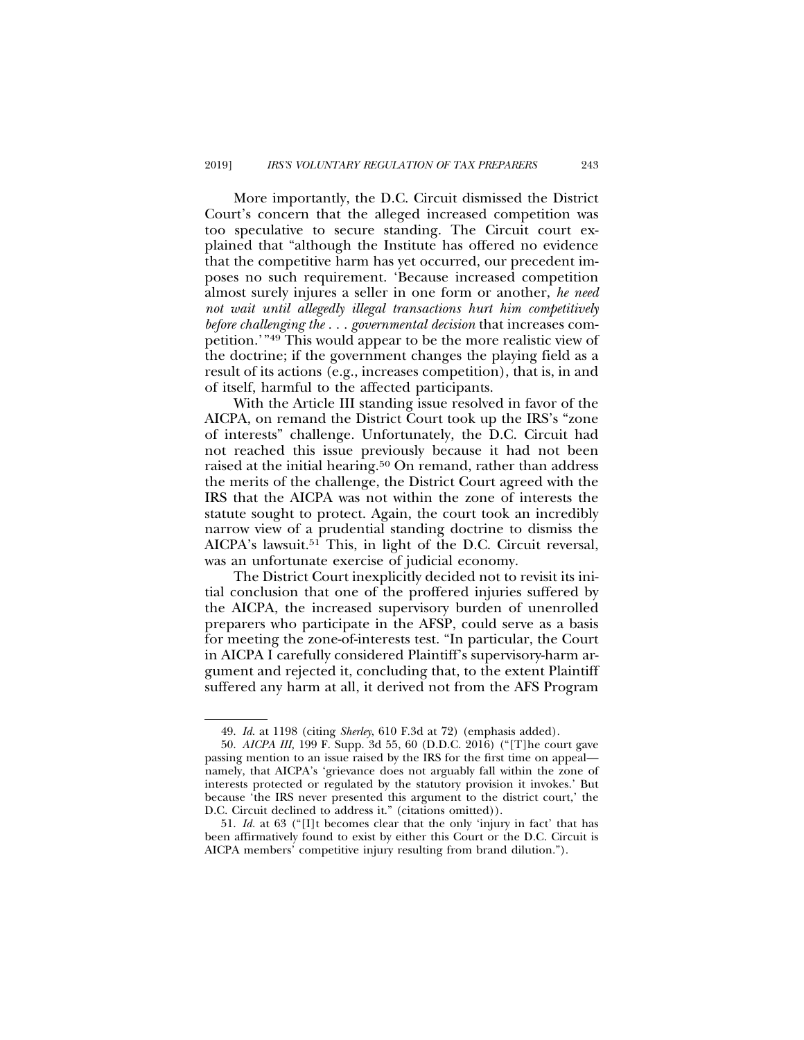More importantly, the D.C. Circuit dismissed the District Court's concern that the alleged increased competition was too speculative to secure standing. The Circuit court explained that "although the Institute has offered no evidence that the competitive harm has yet occurred, our precedent imposes no such requirement. 'Because increased competition almost surely injures a seller in one form or another, *he need not wait until allegedly illegal transactions hurt him competitively before challenging the . . . governmental decision* that increases competition.'"49 This would appear to be the more realistic view of the doctrine; if the government changes the playing field as a result of its actions (e.g., increases competition), that is, in and of itself, harmful to the affected participants.

With the Article III standing issue resolved in favor of the AICPA, on remand the District Court took up the IRS's "zone of interests" challenge. Unfortunately, the D.C. Circuit had not reached this issue previously because it had not been raised at the initial hearing.<sup>50</sup> On remand, rather than address the merits of the challenge, the District Court agreed with the IRS that the AICPA was not within the zone of interests the statute sought to protect. Again, the court took an incredibly narrow view of a prudential standing doctrine to dismiss the AICPA's lawsuit.<sup>51</sup> This, in light of the D.C. Circuit reversal, was an unfortunate exercise of judicial economy.

The District Court inexplicitly decided not to revisit its initial conclusion that one of the proffered injuries suffered by the AICPA, the increased supervisory burden of unenrolled preparers who participate in the AFSP, could serve as a basis for meeting the zone-of-interests test. "In particular, the Court in AICPA I carefully considered Plaintiff's supervisory-harm argument and rejected it, concluding that, to the extent Plaintiff suffered any harm at all, it derived not from the AFS Program

<sup>49.</sup> *Id*. at 1198 (citing *Sherley*, 610 F.3d at 72) (emphasis added).

<sup>50.</sup> *AICPA III,* 199 F. Supp. 3d 55, 60 (D.D.C. 2016) ("[T]he court gave passing mention to an issue raised by the IRS for the first time on appeal namely, that AICPA's 'grievance does not arguably fall within the zone of interests protected or regulated by the statutory provision it invokes.' But because 'the IRS never presented this argument to the district court,' the D.C. Circuit declined to address it." (citations omitted)).

<sup>51.</sup> *Id.* at 63 ("[I]t becomes clear that the only 'injury in fact' that has been affirmatively found to exist by either this Court or the D.C. Circuit is AICPA members' competitive injury resulting from brand dilution.").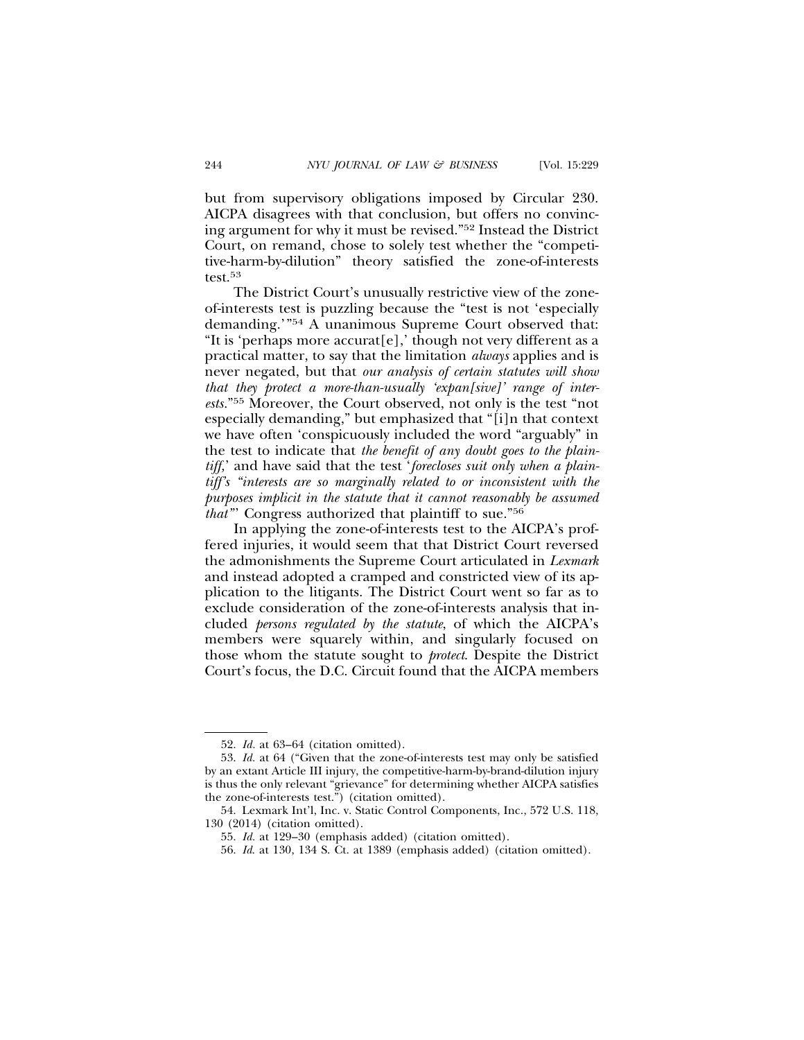but from supervisory obligations imposed by Circular 230. AICPA disagrees with that conclusion, but offers no convincing argument for why it must be revised."52 Instead the District Court, on remand, chose to solely test whether the "competitive-harm-by-dilution" theory satisfied the zone-of-interests test.53

The District Court's unusually restrictive view of the zoneof-interests test is puzzling because the "test is not 'especially demanding.'"54 A unanimous Supreme Court observed that: "It is 'perhaps more accurat[e],' though not very different as a practical matter, to say that the limitation *always* applies and is never negated, but that *our analysis of certain statutes will show that they protect a more-than-usually 'expan[sive]' range of interests.*"55 Moreover, the Court observed, not only is the test "not especially demanding," but emphasized that "[i]n that context we have often 'conspicuously included the word "arguably" in the test to indicate that *the benefit of any doubt goes to the plaintiff,*' and have said that the test '*forecloses suit only when a plaintiff's "interests are so marginally related to or inconsistent with the purposes implicit in the statute that it cannot reasonably be assumed that"*' Congress authorized that plaintiff to sue."56

In applying the zone-of-interests test to the AICPA's proffered injuries, it would seem that that District Court reversed the admonishments the Supreme Court articulated in *Lexmark* and instead adopted a cramped and constricted view of its application to the litigants. The District Court went so far as to exclude consideration of the zone-of-interests analysis that included *persons regulated by the statute*, of which the AICPA's members were squarely within, and singularly focused on those whom the statute sought to *protect*. Despite the District Court's focus, the D.C. Circuit found that the AICPA members

<sup>52.</sup> *Id.* at 63–64 (citation omitted).

<sup>53.</sup> *Id.* at 64 ("Given that the zone-of-interests test may only be satisfied by an extant Article III injury, the competitive-harm-by-brand-dilution injury is thus the only relevant "grievance" for determining whether AICPA satisfies the zone-of-interests test.") (citation omitted).

<sup>54.</sup> Lexmark Int'l, Inc. v. Static Control Components, Inc., 572 U.S. 118, 130 (2014) (citation omitted).

<sup>55.</sup> *Id.* at 129–30 (emphasis added) (citation omitted).

<sup>56.</sup> *Id*. at 130, 134 S. Ct. at 1389 (emphasis added) (citation omitted).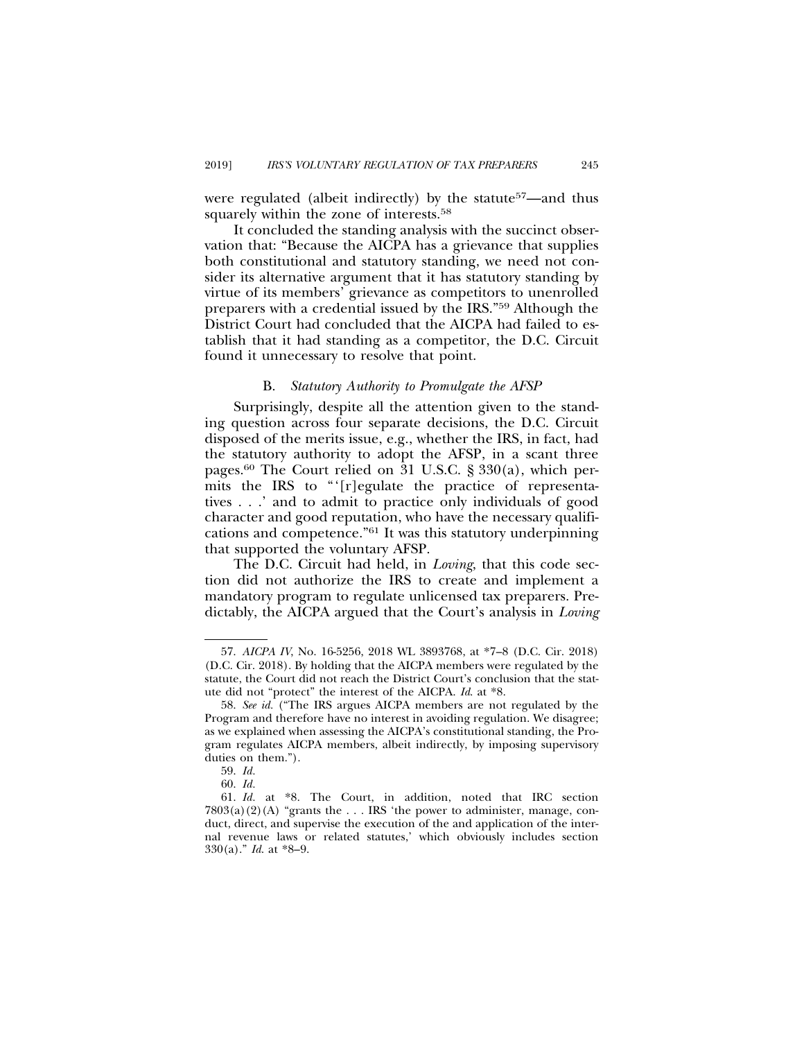were regulated (albeit indirectly) by the statute<sup>57</sup>—and thus squarely within the zone of interests.<sup>58</sup>

It concluded the standing analysis with the succinct observation that: "Because the AICPA has a grievance that supplies both constitutional and statutory standing, we need not consider its alternative argument that it has statutory standing by virtue of its members' grievance as competitors to unenrolled preparers with a credential issued by the IRS."59 Although the District Court had concluded that the AICPA had failed to establish that it had standing as a competitor, the D.C. Circuit found it unnecessary to resolve that point.

#### B. *Statutory Authority to Promulgate the AFSP*

Surprisingly, despite all the attention given to the standing question across four separate decisions, the D.C. Circuit disposed of the merits issue, e.g., whether the IRS, in fact, had the statutory authority to adopt the AFSP, in a scant three pages.<sup>60</sup> The Court relied on 31 U.S.C. § 330(a), which permits the IRS to "'[r]egulate the practice of representatives . . .' and to admit to practice only individuals of good character and good reputation, who have the necessary qualifications and competence."61 It was this statutory underpinning that supported the voluntary AFSP.

The D.C. Circuit had held, in *Loving*, that this code section did not authorize the IRS to create and implement a mandatory program to regulate unlicensed tax preparers. Predictably, the AICPA argued that the Court's analysis in *Loving*

<sup>57.</sup> *AICPA IV*, No. 16-5256, 2018 WL 3893768, at \*7–8 (D.C. Cir. 2018) (D.C. Cir. 2018). By holding that the AICPA members were regulated by the statute, the Court did not reach the District Court's conclusion that the statute did not "protect" the interest of the AICPA. *Id*. at \*8.

<sup>58.</sup> *See id.* ("The IRS argues AICPA members are not regulated by the Program and therefore have no interest in avoiding regulation. We disagree; as we explained when assessing the AICPA's constitutional standing, the Program regulates AICPA members, albeit indirectly, by imposing supervisory duties on them.").

<sup>59.</sup> *Id.*

<sup>60.</sup> *Id.*

<sup>61.</sup> *Id.* at \*8. The Court, in addition, noted that IRC section  $7803(a)(2)(A)$  "grants the ... IRS 'the power to administer, manage, conduct, direct, and supervise the execution of the and application of the internal revenue laws or related statutes,' which obviously includes section 330(a)." *Id*. at \*8–9.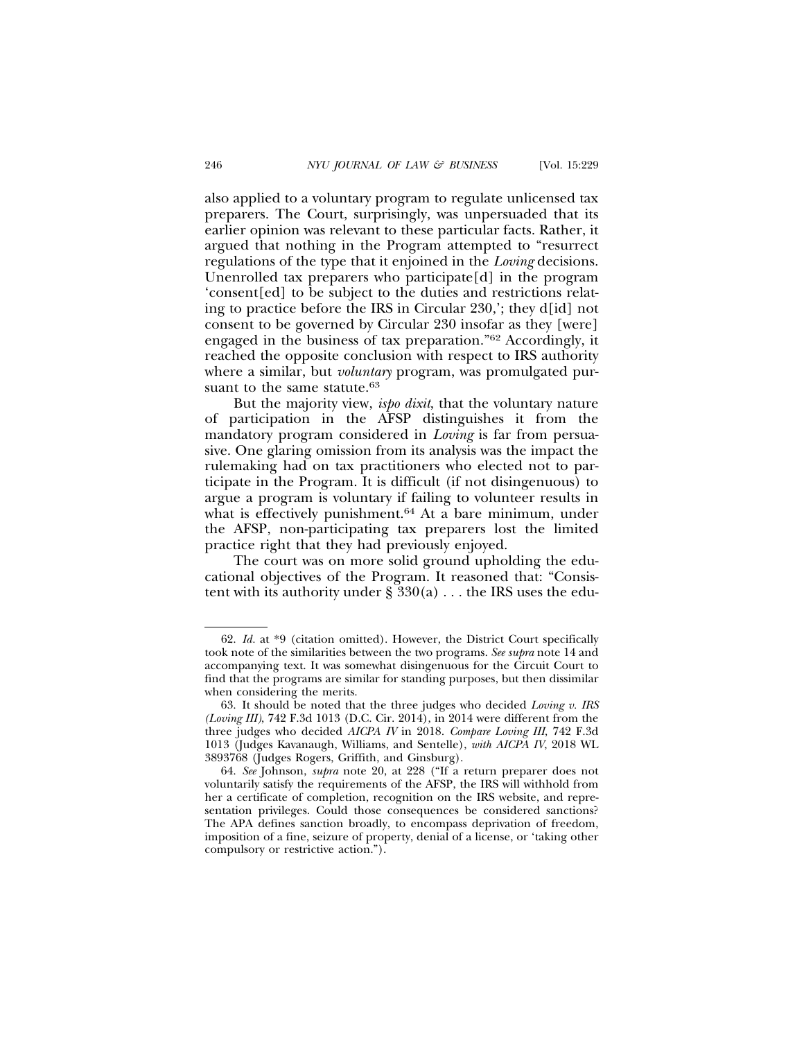also applied to a voluntary program to regulate unlicensed tax preparers. The Court, surprisingly, was unpersuaded that its earlier opinion was relevant to these particular facts. Rather, it argued that nothing in the Program attempted to "resurrect regulations of the type that it enjoined in the *Loving* decisions. Unenrolled tax preparers who participate[d] in the program 'consent[ed] to be subject to the duties and restrictions relating to practice before the IRS in Circular 230,'; they d[id] not consent to be governed by Circular 230 insofar as they [were] engaged in the business of tax preparation."62 Accordingly, it reached the opposite conclusion with respect to IRS authority where a similar, but *voluntary* program, was promulgated pursuant to the same statute.<sup>63</sup>

But the majority view, *ispo dixit*, that the voluntary nature of participation in the AFSP distinguishes it from the mandatory program considered in *Loving* is far from persuasive. One glaring omission from its analysis was the impact the rulemaking had on tax practitioners who elected not to participate in the Program. It is difficult (if not disingenuous) to argue a program is voluntary if failing to volunteer results in what is effectively punishment.<sup>64</sup> At a bare minimum, under the AFSP, non-participating tax preparers lost the limited practice right that they had previously enjoyed.

The court was on more solid ground upholding the educational objectives of the Program. It reasoned that: "Consistent with its authority under  $\S 330(a)$ ... the IRS uses the edu-

<sup>62.</sup> *Id.* at \*9 (citation omitted). However, the District Court specifically took note of the similarities between the two programs. *See supra* note 14 and accompanying text. It was somewhat disingenuous for the Circuit Court to find that the programs are similar for standing purposes, but then dissimilar when considering the merits.

<sup>63.</sup> It should be noted that the three judges who decided *Loving v. IRS (Loving III)*, 742 F.3d 1013 (D.C. Cir. 2014), in 2014 were different from the three judges who decided *AICPA IV* in 2018. *Compare Loving III*, 742 F.3d 1013 (Judges Kavanaugh, Williams, and Sentelle), *with AICPA IV*, 2018 WL 3893768 (Judges Rogers, Griffith, and Ginsburg).

<sup>64.</sup> *See* Johnson, *supra* note 20, at 228 ("If a return preparer does not voluntarily satisfy the requirements of the AFSP, the IRS will withhold from her a certificate of completion, recognition on the IRS website, and representation privileges. Could those consequences be considered sanctions? The APA defines sanction broadly, to encompass deprivation of freedom, imposition of a fine, seizure of property, denial of a license, or 'taking other compulsory or restrictive action.").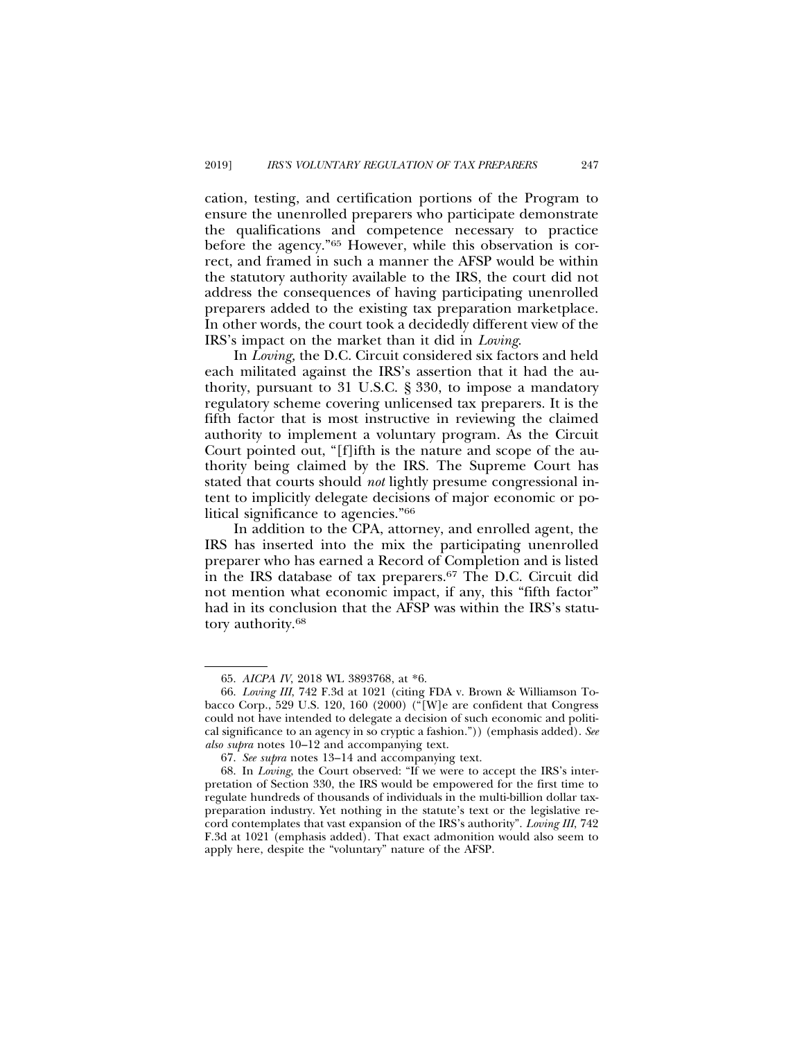cation, testing, and certification portions of the Program to ensure the unenrolled preparers who participate demonstrate the qualifications and competence necessary to practice before the agency."65 However, while this observation is correct, and framed in such a manner the AFSP would be within the statutory authority available to the IRS, the court did not address the consequences of having participating unenrolled preparers added to the existing tax preparation marketplace. In other words, the court took a decidedly different view of the IRS's impact on the market than it did in *Loving*.

In *Loving,* the D.C. Circuit considered six factors and held each militated against the IRS's assertion that it had the authority, pursuant to 31 U.S.C. § 330, to impose a mandatory regulatory scheme covering unlicensed tax preparers. It is the fifth factor that is most instructive in reviewing the claimed authority to implement a voluntary program. As the Circuit Court pointed out, "[f]ifth is the nature and scope of the authority being claimed by the IRS. The Supreme Court has stated that courts should *not* lightly presume congressional intent to implicitly delegate decisions of major economic or political significance to agencies."66

In addition to the CPA, attorney, and enrolled agent, the IRS has inserted into the mix the participating unenrolled preparer who has earned a Record of Completion and is listed in the IRS database of tax preparers.67 The D.C. Circuit did not mention what economic impact, if any, this "fifth factor" had in its conclusion that the AFSP was within the IRS's statutory authority.68

<sup>65.</sup> *AICPA IV*, 2018 WL 3893768, at \*6.

<sup>66.</sup> *Loving III*, 742 F.3d at 1021 (citing FDA v. Brown & Williamson Tobacco Corp., 529 U.S. 120, 160 (2000) ("[W]e are confident that Congress could not have intended to delegate a decision of such economic and political significance to an agency in so cryptic a fashion.")) (emphasis added). *See also supra* notes 10–12 and accompanying text.

<sup>67.</sup> *See supra* notes 13–14 and accompanying text.

<sup>68.</sup> In *Loving*, the Court observed: "If we were to accept the IRS's interpretation of Section 330, the IRS would be empowered for the first time to regulate hundreds of thousands of individuals in the multi-billion dollar taxpreparation industry. Yet nothing in the statute's text or the legislative record contemplates that vast expansion of the IRS's authority". *Loving III*, 742 F.3d at 1021 (emphasis added). That exact admonition would also seem to apply here, despite the "voluntary" nature of the AFSP.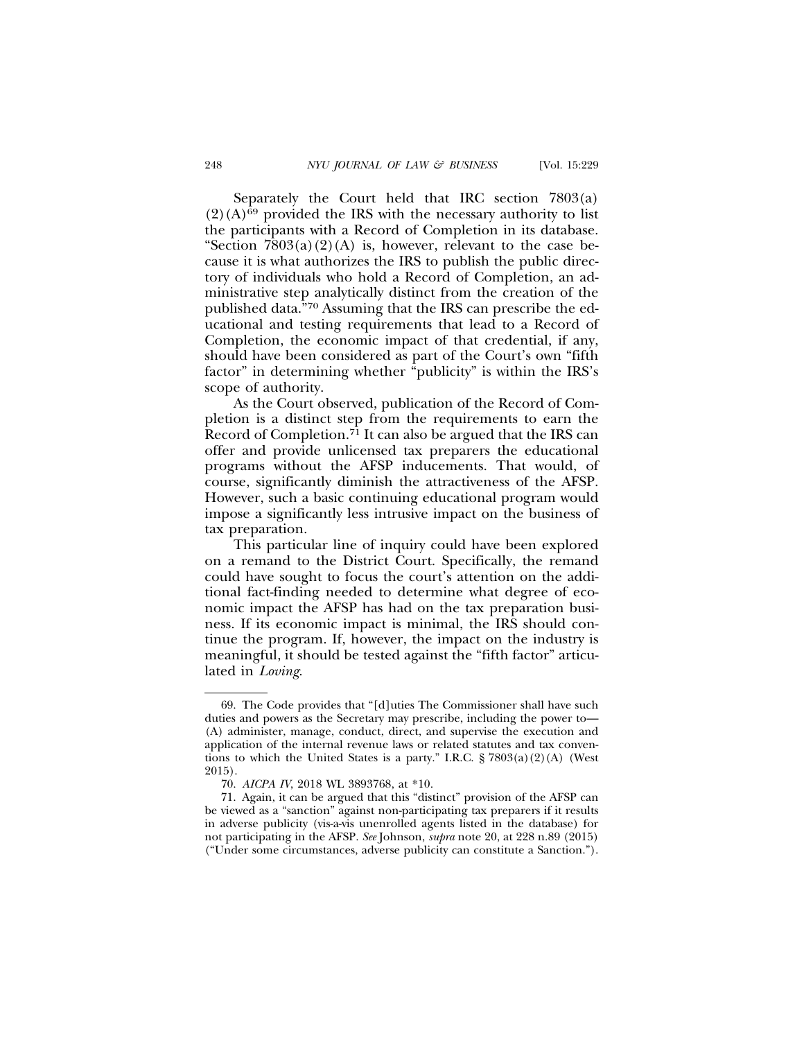Separately the Court held that IRC section  $7803(a)$  $(2)(A)^{69}$  provided the IRS with the necessary authority to list the participants with a Record of Completion in its database. "Section  $7803(a)(2)(A)$  is, however, relevant to the case because it is what authorizes the IRS to publish the public directory of individuals who hold a Record of Completion, an administrative step analytically distinct from the creation of the published data."70 Assuming that the IRS can prescribe the educational and testing requirements that lead to a Record of Completion, the economic impact of that credential, if any, should have been considered as part of the Court's own "fifth factor" in determining whether "publicity" is within the IRS's scope of authority.

As the Court observed, publication of the Record of Completion is a distinct step from the requirements to earn the Record of Completion.71 It can also be argued that the IRS can offer and provide unlicensed tax preparers the educational programs without the AFSP inducements. That would, of course, significantly diminish the attractiveness of the AFSP. However, such a basic continuing educational program would impose a significantly less intrusive impact on the business of tax preparation.

This particular line of inquiry could have been explored on a remand to the District Court. Specifically, the remand could have sought to focus the court's attention on the additional fact-finding needed to determine what degree of economic impact the AFSP has had on the tax preparation business. If its economic impact is minimal, the IRS should continue the program. If, however, the impact on the industry is meaningful, it should be tested against the "fifth factor" articulated in *Loving*.

<sup>69.</sup> The Code provides that "[d]uties The Commissioner shall have such duties and powers as the Secretary may prescribe, including the power to— (A) administer, manage, conduct, direct, and supervise the execution and application of the internal revenue laws or related statutes and tax conventions to which the United States is a party." I.R.C.  $\S 7803(a)(2)(A)$  (West 2015).

<sup>70.</sup> *AICPA IV*, 2018 WL 3893768, at \*10.

<sup>71.</sup> Again, it can be argued that this "distinct" provision of the AFSP can be viewed as a "sanction" against non-participating tax preparers if it results in adverse publicity (vis-a-vis unenrolled agents listed in the database) for not participating in the AFSP. *See* Johnson, *supra* note 20, at 228 n.89 (2015) ("Under some circumstances, adverse publicity can constitute a Sanction.").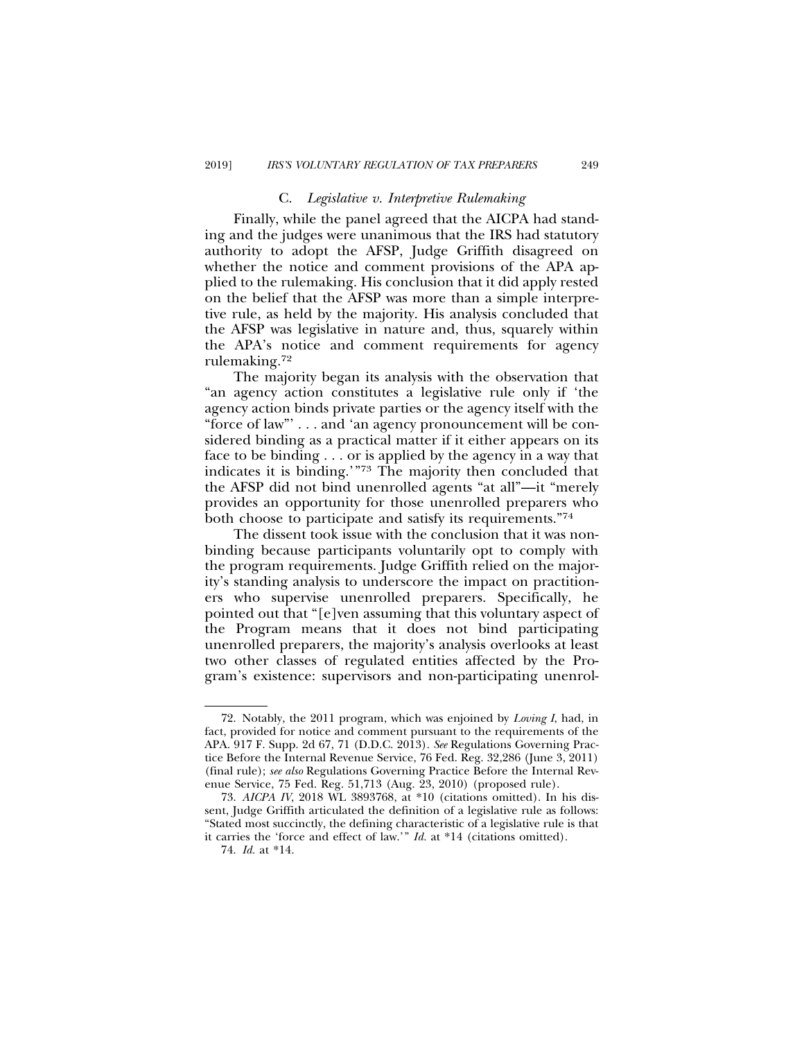## C. *Legislative v. Interpretive Rulemaking*

Finally, while the panel agreed that the AICPA had standing and the judges were unanimous that the IRS had statutory authority to adopt the AFSP, Judge Griffith disagreed on whether the notice and comment provisions of the APA applied to the rulemaking. His conclusion that it did apply rested on the belief that the AFSP was more than a simple interpretive rule, as held by the majority. His analysis concluded that the AFSP was legislative in nature and, thus, squarely within the APA's notice and comment requirements for agency rulemaking.72

The majority began its analysis with the observation that "an agency action constitutes a legislative rule only if 'the agency action binds private parties or the agency itself with the "force of law"' . . . and 'an agency pronouncement will be considered binding as a practical matter if it either appears on its face to be binding . . . or is applied by the agency in a way that indicates it is binding.'"73 The majority then concluded that the AFSP did not bind unenrolled agents "at all"—it "merely provides an opportunity for those unenrolled preparers who both choose to participate and satisfy its requirements."74

The dissent took issue with the conclusion that it was nonbinding because participants voluntarily opt to comply with the program requirements. Judge Griffith relied on the majority's standing analysis to underscore the impact on practitioners who supervise unenrolled preparers. Specifically, he pointed out that "[e]ven assuming that this voluntary aspect of the Program means that it does not bind participating unenrolled preparers, the majority's analysis overlooks at least two other classes of regulated entities affected by the Program's existence: supervisors and non-participating unenrol-

<sup>72.</sup> Notably, the 2011 program, which was enjoined by *Loving I*, had, in fact, provided for notice and comment pursuant to the requirements of the APA. 917 F. Supp. 2d 67, 71 (D.D.C. 2013). *See* Regulations Governing Practice Before the Internal Revenue Service, 76 Fed. Reg. 32,286 (June 3, 2011) (final rule); *see also* Regulations Governing Practice Before the Internal Revenue Service, 75 Fed. Reg. 51,713 (Aug. 23, 2010) (proposed rule).

<sup>73.</sup> *AICPA IV*, 2018 WL 3893768, at \*10 (citations omitted). In his dissent, Judge Griffith articulated the definition of a legislative rule as follows: "Stated most succinctly, the defining characteristic of a legislative rule is that it carries the 'force and effect of law.'" *Id.* at \*14 (citations omitted).

<sup>74.</sup> *Id.* at \*14.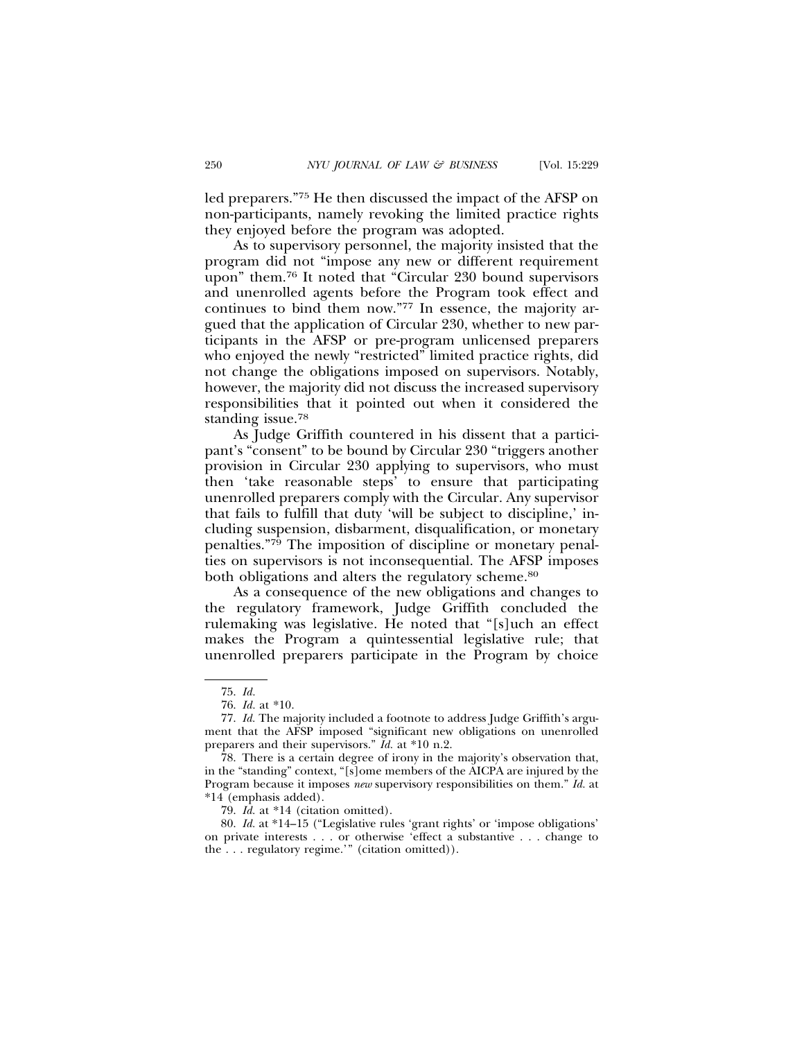led preparers."75 He then discussed the impact of the AFSP on non-participants, namely revoking the limited practice rights they enjoyed before the program was adopted.

As to supervisory personnel, the majority insisted that the program did not "impose any new or different requirement upon" them.76 It noted that "Circular 230 bound supervisors and unenrolled agents before the Program took effect and continues to bind them now."77 In essence, the majority argued that the application of Circular 230, whether to new participants in the AFSP or pre-program unlicensed preparers who enjoyed the newly "restricted" limited practice rights, did not change the obligations imposed on supervisors. Notably, however, the majority did not discuss the increased supervisory responsibilities that it pointed out when it considered the standing issue.78

As Judge Griffith countered in his dissent that a participant's "consent" to be bound by Circular 230 "triggers another provision in Circular 230 applying to supervisors, who must then 'take reasonable steps' to ensure that participating unenrolled preparers comply with the Circular. Any supervisor that fails to fulfill that duty 'will be subject to discipline,' including suspension, disbarment, disqualification, or monetary penalties."79 The imposition of discipline or monetary penalties on supervisors is not inconsequential. The AFSP imposes both obligations and alters the regulatory scheme.<sup>80</sup>

As a consequence of the new obligations and changes to the regulatory framework, Judge Griffith concluded the rulemaking was legislative. He noted that "[s]uch an effect makes the Program a quintessential legislative rule; that unenrolled preparers participate in the Program by choice

<sup>75.</sup> *Id.*

<sup>76.</sup> *Id.* at \*10.

<sup>77.</sup> *Id.* The majority included a footnote to address Judge Griffith's argument that the AFSP imposed "significant new obligations on unenrolled preparers and their supervisors." *Id.* at \*10 n.2.

<sup>78.</sup> There is a certain degree of irony in the majority's observation that, in the "standing" context, "[s]ome members of the AICPA are injured by the Program because it imposes *new* supervisory responsibilities on them." *Id.* at \*14 (emphasis added).

<sup>79.</sup> *Id.* at \*14 (citation omitted).

<sup>80.</sup> *Id.* at \*14–15 ("Legislative rules 'grant rights' or 'impose obligations' on private interests . . . or otherwise 'effect a substantive . . . change to the . . . regulatory regime.'" (citation omitted)).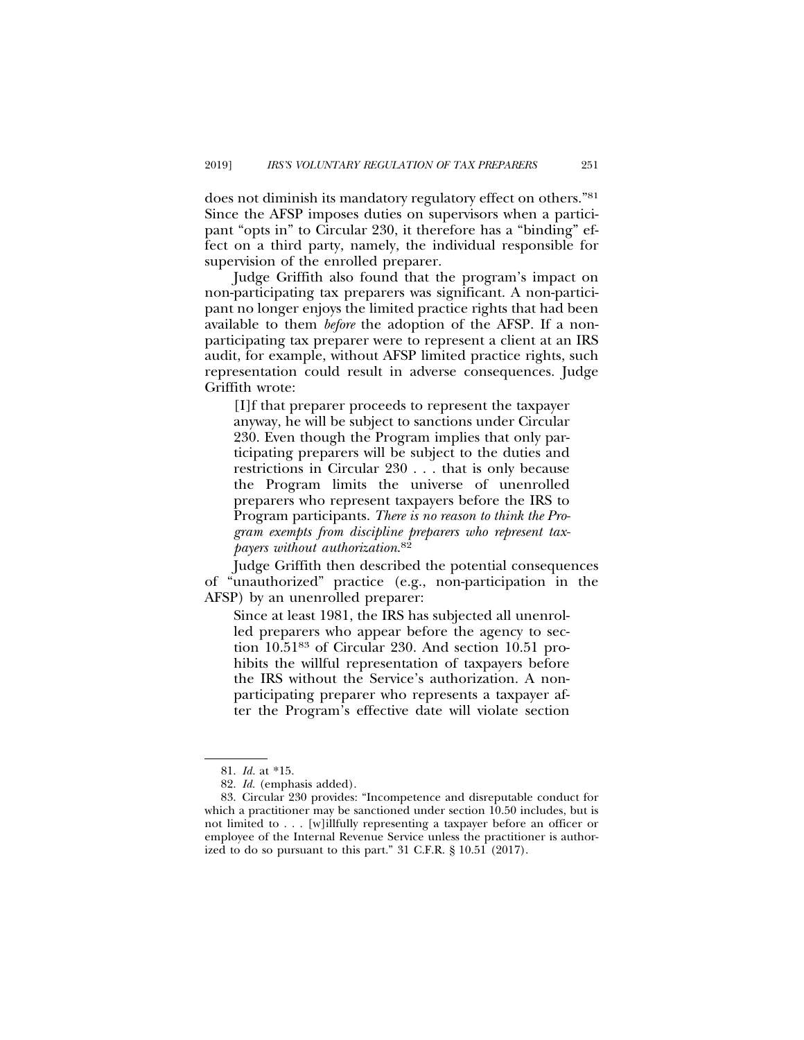does not diminish its mandatory regulatory effect on others."81 Since the AFSP imposes duties on supervisors when a participant "opts in" to Circular 230, it therefore has a "binding" effect on a third party, namely, the individual responsible for supervision of the enrolled preparer.

Judge Griffith also found that the program's impact on non-participating tax preparers was significant. A non-participant no longer enjoys the limited practice rights that had been available to them *before* the adoption of the AFSP. If a nonparticipating tax preparer were to represent a client at an IRS audit, for example, without AFSP limited practice rights, such representation could result in adverse consequences. Judge Griffith wrote:

[I]f that preparer proceeds to represent the taxpayer anyway, he will be subject to sanctions under Circular 230. Even though the Program implies that only participating preparers will be subject to the duties and restrictions in Circular 230 . . . that is only because the Program limits the universe of unenrolled preparers who represent taxpayers before the IRS to Program participants. *There is no reason to think the Program exempts from discipline preparers who represent taxpayers without authorization*. 82

Judge Griffith then described the potential consequences of "unauthorized" practice (e.g., non-participation in the AFSP) by an unenrolled preparer:

Since at least 1981, the IRS has subjected all unenrolled preparers who appear before the agency to section 10.5183 of Circular 230. And section 10.51 prohibits the willful representation of taxpayers before the IRS without the Service's authorization. A nonparticipating preparer who represents a taxpayer after the Program's effective date will violate section

<sup>81.</sup> *Id.* at \*15.

<sup>82.</sup> *Id.* (emphasis added).

<sup>83.</sup> Circular 230 provides: "Incompetence and disreputable conduct for which a practitioner may be sanctioned under section 10.50 includes, but is not limited to . . . [w]illfully representing a taxpayer before an officer or employee of the Internal Revenue Service unless the practitioner is authorized to do so pursuant to this part." 31 C.F.R. § 10.51 (2017).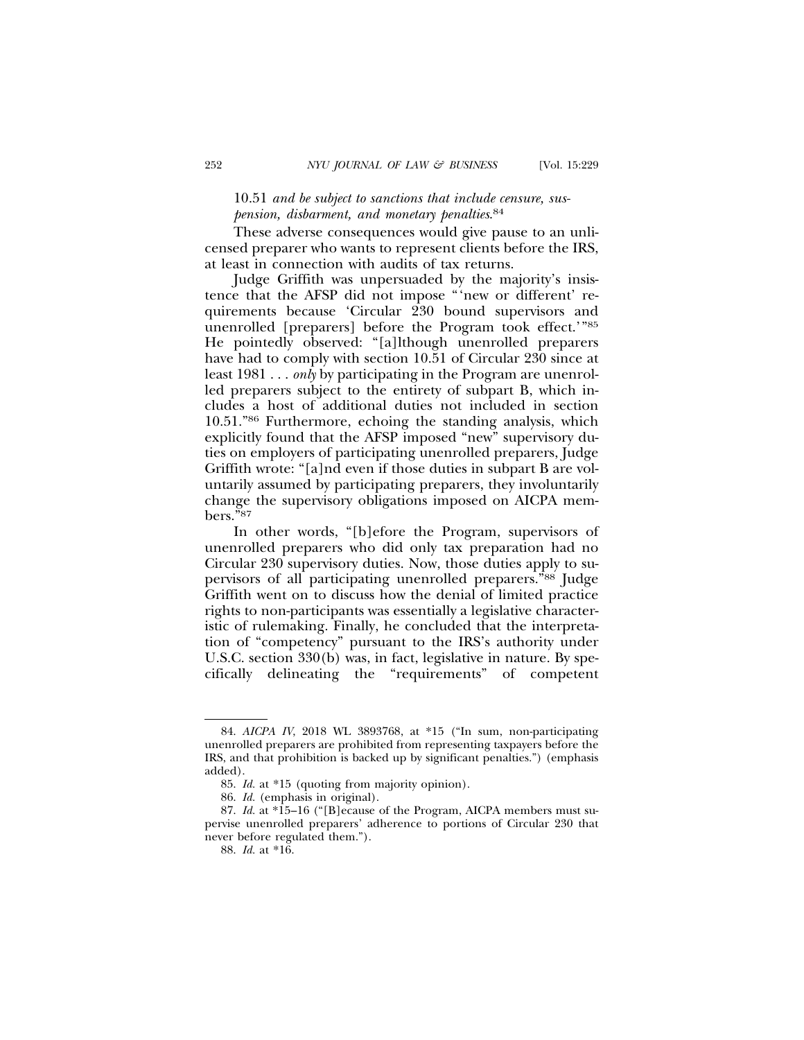# 10.51 *and be subject to sanctions that include censure, suspension, disbarment, and monetary penalties*. 84

These adverse consequences would give pause to an unlicensed preparer who wants to represent clients before the IRS, at least in connection with audits of tax returns.

Judge Griffith was unpersuaded by the majority's insistence that the AFSP did not impose "'new or different' requirements because 'Circular 230 bound supervisors and unenrolled [preparers] before the Program took effect.'"85 He pointedly observed: "[a]lthough unenrolled preparers have had to comply with section 10.51 of Circular 230 since at least 1981 . . . *only* by participating in the Program are unenrolled preparers subject to the entirety of subpart B, which includes a host of additional duties not included in section 10.51."86 Furthermore, echoing the standing analysis, which explicitly found that the AFSP imposed "new" supervisory duties on employers of participating unenrolled preparers, Judge Griffith wrote: "[a]nd even if those duties in subpart B are voluntarily assumed by participating preparers, they involuntarily change the supervisory obligations imposed on AICPA members."87

In other words, "[b]efore the Program, supervisors of unenrolled preparers who did only tax preparation had no Circular 230 supervisory duties. Now, those duties apply to supervisors of all participating unenrolled preparers."88 Judge Griffith went on to discuss how the denial of limited practice rights to non-participants was essentially a legislative characteristic of rulemaking. Finally, he concluded that the interpretation of "competency" pursuant to the IRS's authority under U.S.C. section 330(b) was, in fact, legislative in nature. By specifically delineating the "requirements" of competent

<sup>84.</sup> *AICPA IV*, 2018 WL 3893768, at \*15 ("In sum, non-participating unenrolled preparers are prohibited from representing taxpayers before the IRS, and that prohibition is backed up by significant penalties.") (emphasis added).

<sup>85.</sup> *Id.* at \*15 (quoting from majority opinion).

<sup>86.</sup> *Id.* (emphasis in original).

<sup>87.</sup> *Id.* at \*15–16 ("[B]ecause of the Program, AICPA members must supervise unenrolled preparers' adherence to portions of Circular 230 that never before regulated them.").

<sup>88.</sup> *Id.* at \*16.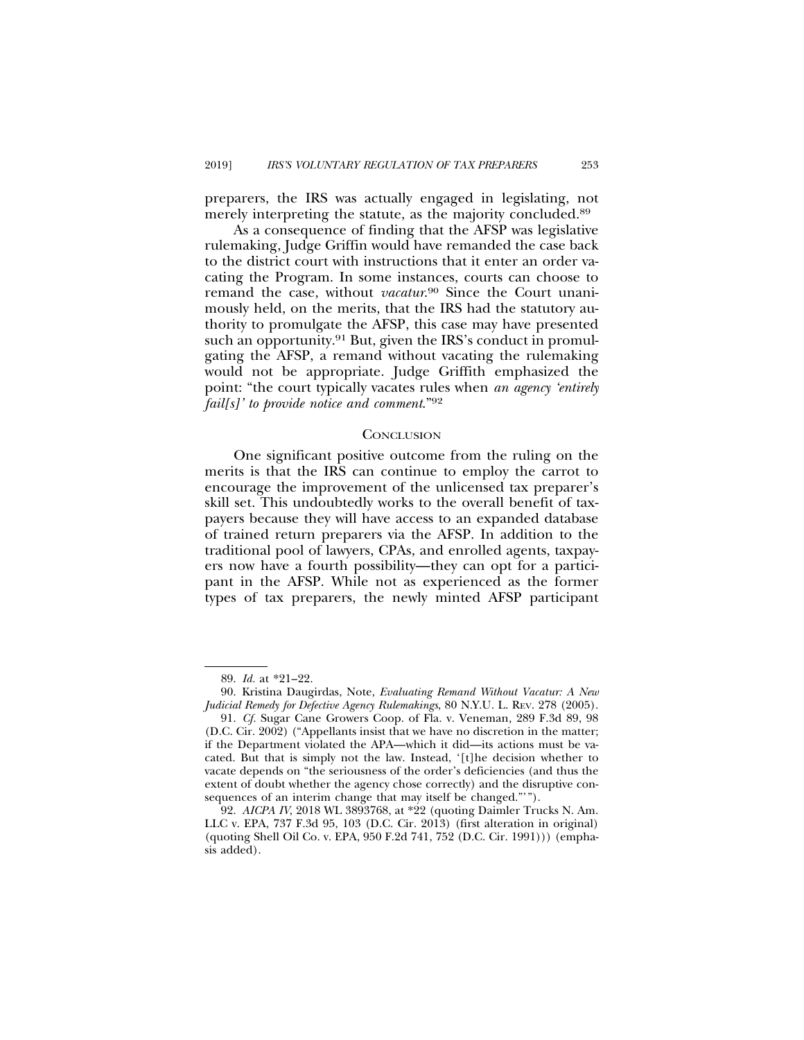preparers, the IRS was actually engaged in legislating, not merely interpreting the statute, as the majority concluded.<sup>89</sup>

As a consequence of finding that the AFSP was legislative rulemaking, Judge Griffin would have remanded the case back to the district court with instructions that it enter an order vacating the Program. In some instances, courts can choose to remand the case, without *vacatur*. 90 Since the Court unanimously held, on the merits, that the IRS had the statutory authority to promulgate the AFSP, this case may have presented such an opportunity.<sup>91</sup> But, given the IRS's conduct in promulgating the AFSP, a remand without vacating the rulemaking would not be appropriate. Judge Griffith emphasized the point: "the court typically vacates rules when *an agency 'entirely fail[s]' to provide notice and comment*."92

#### **CONCLUSION**

One significant positive outcome from the ruling on the merits is that the IRS can continue to employ the carrot to encourage the improvement of the unlicensed tax preparer's skill set. This undoubtedly works to the overall benefit of taxpayers because they will have access to an expanded database of trained return preparers via the AFSP. In addition to the traditional pool of lawyers, CPAs, and enrolled agents, taxpayers now have a fourth possibility—they can opt for a participant in the AFSP. While not as experienced as the former types of tax preparers, the newly minted AFSP participant

<sup>89.</sup> *Id.* at \*21–22.

<sup>90.</sup> Kristina Daugirdas, Note, *Evaluating Remand Without Vacatur: A New Judicial Remedy for Defective Agency Rulemakings*, 80 N.Y.U. L. REV. 278 (2005).

<sup>91.</sup> *Cf.* Sugar Cane Growers Coop. of Fla. v. Veneman*,* 289 F.3d 89, 98 (D.C. Cir. 2002) ("Appellants insist that we have no discretion in the matter; if the Department violated the APA—which it did—its actions must be vacated. But that is simply not the law. Instead, '[t]he decision whether to vacate depends on "the seriousness of the order's deficiencies (and thus the extent of doubt whether the agency chose correctly) and the disruptive consequences of an interim change that may itself be changed."'").

<sup>92.</sup> *AICPA IV*, 2018 WL 3893768, at \*22 (quoting Daimler Trucks N. Am. LLC v. EPA, 737 F.3d 95, 103 (D.C. Cir. 2013) (first alteration in original) (quoting Shell Oil Co. v. EPA, 950 F.2d 741, 752 (D.C. Cir. 1991))) (emphasis added).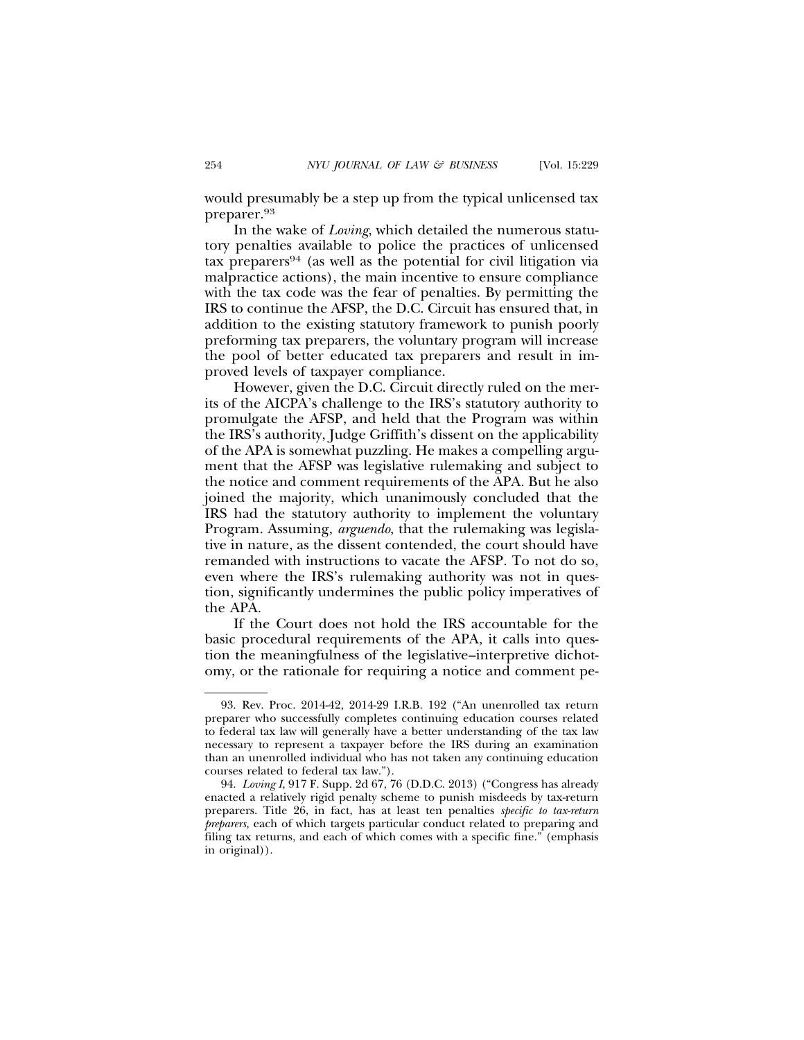would presumably be a step up from the typical unlicensed tax preparer.93

In the wake of *Loving*, which detailed the numerous statutory penalties available to police the practices of unlicensed tax preparers94 (as well as the potential for civil litigation via malpractice actions), the main incentive to ensure compliance with the tax code was the fear of penalties. By permitting the IRS to continue the AFSP, the D.C. Circuit has ensured that, in addition to the existing statutory framework to punish poorly preforming tax preparers, the voluntary program will increase the pool of better educated tax preparers and result in improved levels of taxpayer compliance.

However, given the D.C. Circuit directly ruled on the merits of the AICPA's challenge to the IRS's statutory authority to promulgate the AFSP, and held that the Program was within the IRS's authority, Judge Griffith's dissent on the applicability of the APA is somewhat puzzling. He makes a compelling argument that the AFSP was legislative rulemaking and subject to the notice and comment requirements of the APA. But he also joined the majority, which unanimously concluded that the IRS had the statutory authority to implement the voluntary Program. Assuming, *arguendo*, that the rulemaking was legislative in nature, as the dissent contended, the court should have remanded with instructions to vacate the AFSP. To not do so, even where the IRS's rulemaking authority was not in question, significantly undermines the public policy imperatives of the APA.

If the Court does not hold the IRS accountable for the basic procedural requirements of the APA, it calls into question the meaningfulness of the legislative–interpretive dichotomy, or the rationale for requiring a notice and comment pe-

<sup>93.</sup> Rev. Proc. 2014-42, 2014-29 I.R.B. 192 ("An unenrolled tax return preparer who successfully completes continuing education courses related to federal tax law will generally have a better understanding of the tax law necessary to represent a taxpayer before the IRS during an examination than an unenrolled individual who has not taken any continuing education courses related to federal tax law.").

<sup>94.</sup> *Loving I*, 917 F. Supp. 2d 67, 76 (D.D.C. 2013) ("Congress has already enacted a relatively rigid penalty scheme to punish misdeeds by tax-return preparers. Title 26, in fact, has at least ten penalties *specific to tax-return preparers,* each of which targets particular conduct related to preparing and filing tax returns, and each of which comes with a specific fine." (emphasis in original)).